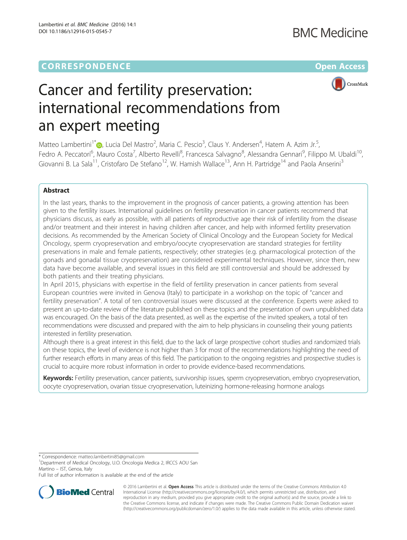# **CORRESPONDENCE CORRESPONDENCE CORRESPONDENCE**



# Cancer and fertility preservation: international recommendations from an expert meeting

Matteo Lambertini<sup>1\*</sup> (D)[,](http://orcid.org/0000-0003-1797-5296) Lucia Del Mastro<sup>2</sup>, Maria C. Pescio<sup>3</sup>, Claus Y. Andersen<sup>4</sup>, Hatem A. Azim Jr.<sup>5</sup> , Fedro A. Peccatori<sup>6</sup>, Mauro Costa<sup>7</sup>, Alberto Revelli<sup>8</sup>, Francesca Salvagno<sup>8</sup>, Alessandra Gennari<sup>9</sup>, Filippo M. Ubaldi<sup>10</sup>, Giovanni B. La Sala<sup>11</sup>, Cristofaro De Stefano<sup>12</sup>, W. Hamish Wallace<sup>13</sup>, Ann H. Partridge<sup>14</sup> and Paola Anserini<sup>3</sup>

# Abstract

In the last years, thanks to the improvement in the prognosis of cancer patients, a growing attention has been given to the fertility issues. International guidelines on fertility preservation in cancer patients recommend that physicians discuss, as early as possible, with all patients of reproductive age their risk of infertility from the disease and/or treatment and their interest in having children after cancer, and help with informed fertility preservation decisions. As recommended by the American Society of Clinical Oncology and the European Society for Medical Oncology, sperm cryopreservation and embryo/oocyte cryopreservation are standard strategies for fertility preservations in male and female patients, respectively; other strategies (e.g. pharmacological protection of the gonads and gonadal tissue cryopreservation) are considered experimental techniques. However, since then, new data have become available, and several issues in this field are still controversial and should be addressed by both patients and their treating physicians.

In April 2015, physicians with expertise in the field of fertility preservation in cancer patients from several European countries were invited in Genova (Italy) to participate in a workshop on the topic of "cancer and fertility preservation". A total of ten controversial issues were discussed at the conference. Experts were asked to present an up-to-date review of the literature published on these topics and the presentation of own unpublished data was encouraged. On the basis of the data presented, as well as the expertise of the invited speakers, a total of ten recommendations were discussed and prepared with the aim to help physicians in counseling their young patients interested in fertility preservation.

Although there is a great interest in this field, due to the lack of large prospective cohort studies and randomized trials on these topics, the level of evidence is not higher than 3 for most of the recommendations highlighting the need of further research efforts in many areas of this field. The participation to the ongoing registries and prospective studies is crucial to acquire more robust information in order to provide evidence-based recommendations.

Keywords: Fertility preservation, cancer patients, survivorship issues, sperm cryopreservation, embryo cryopreservation, oocyte cryopreservation, ovarian tissue cryopreservation, luteinizing hormone-releasing hormone analogs

\* Correspondence: [matteo.lambertini85@gmail.com](mailto:matteo.lambertini85@gmail.com) <sup>1</sup>

<sup>1</sup>Department of Medical Oncology, U.O. Oncologia Medica 2, IRCCS AOU San Martino – IST, Genoa, Italy

Full list of author information is available at the end of the article



© 2016 Lambertini et al. Open Access This article is distributed under the terms of the Creative Commons Attribution 4.0 International License [\(http://creativecommons.org/licenses/by/4.0/](http://creativecommons.org/licenses/by/4.0/)), which permits unrestricted use, distribution, and reproduction in any medium, provided you give appropriate credit to the original author(s) and the source, provide a link to the Creative Commons license, and indicate if changes were made. The Creative Commons Public Domain Dedication waiver [\(http://creativecommons.org/publicdomain/zero/1.0/](http://creativecommons.org/publicdomain/zero/1.0/)) applies to the data made available in this article, unless otherwise stated.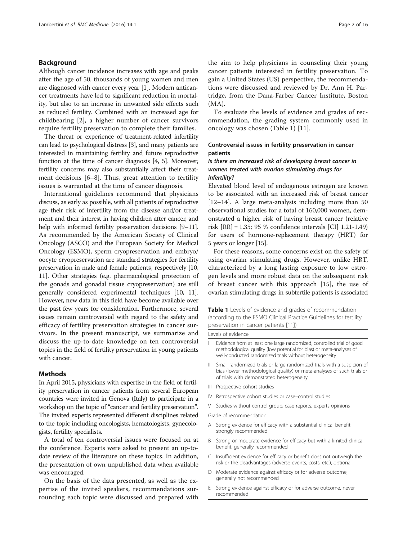#### Background

Although cancer incidence increases with age and peaks after the age of 50, thousands of young women and men are diagnosed with cancer every year [\[1\]](#page-12-0). Modern anticancer treatments have led to significant reduction in mortality, but also to an increase in unwanted side effects such as reduced fertility. Combined with an increased age for childbearing [[2\]](#page-12-0), a higher number of cancer survivors require fertility preservation to complete their families.

The threat or experience of treatment-related infertility can lead to psychological distress [\[3\]](#page-12-0), and many patients are interested in maintaining fertility and future reproductive function at the time of cancer diagnosis [\[4](#page-12-0), [5\]](#page-12-0). Moreover, fertility concerns may also substantially affect their treatment decisions [[6](#page-12-0)–[8\]](#page-12-0). Thus, great attention to fertility issues is warranted at the time of cancer diagnosis.

International guidelines recommend that physicians discuss, as early as possible, with all patients of reproductive age their risk of infertility from the disease and/or treatment and their interest in having children after cancer, and help with informed fertility preservation decisions [\[9](#page-12-0)–[11](#page-12-0)]. As recommended by the American Society of Clinical Oncology (ASCO) and the European Society for Medical Oncology (ESMO), sperm cryopreservation and embryo/ oocyte cryopreservation are standard strategies for fertility preservation in male and female patients, respectively [[10](#page-12-0), [11](#page-12-0)]. Other strategies (e.g. pharmacological protection of the gonads and gonadal tissue cryopreservation) are still generally considered experimental techniques [\[10, 11](#page-12-0)]. However, new data in this field have become available over the past few years for consideration. Furthermore, several issues remain controversial with regard to the safety and efficacy of fertility preservation strategies in cancer survivors. In the present manuscript, we summarize and discuss the up-to-date knowledge on ten controversial topics in the field of fertility preservation in young patients with cancer.

#### **Methods**

In April 2015, physicians with expertise in the field of fertility preservation in cancer patients from several European countries were invited in Genova (Italy) to participate in a workshop on the topic of "cancer and fertility preservation". The invited experts represented different disciplines related to the topic including oncologists, hematologists, gynecologists, fertility specialists.

A total of ten controversial issues were focused on at the conference. Experts were asked to present an up-todate review of the literature on these topics. In addition, the presentation of own unpublished data when available was encouraged.

On the basis of the data presented, as well as the expertise of the invited speakers, recommendations surrounding each topic were discussed and prepared with the aim to help physicians in counseling their young cancer patients interested in fertility preservation. To gain a United States (US) perspective, the recommendations were discussed and reviewed by Dr. Ann H. Partridge, from the Dana-Farber Cancer Institute, Boston (MA).

To evaluate the levels of evidence and grades of recommendation, the grading system commonly used in oncology was chosen (Table 1) [[11](#page-12-0)].

#### Controversial issues in fertility preservation in cancer patients

## Is there an increased risk of developing breast cancer in women treated with ovarian stimulating drugs for infertility?

Elevated blood level of endogenous estrogen are known to be associated with an increased risk of breast cancer [[12](#page-12-0)–[14](#page-12-0)]. A large meta-analysis including more than 50 observational studies for a total of 160,000 women, demonstrated a higher risk of having breast cancer (relative risk [RR] = 1.35; 95 % confidence intervals [CI] 1.21-1.49) for users of hormone-replacement therapy (HRT) for 5 years or longer [\[15\]](#page-12-0).

For these reasons, some concerns exist on the safety of using ovarian stimulating drugs. However, unlike HRT, characterized by a long lasting exposure to low estrogen levels and more robust data on the subsequent risk of breast cancer with this approach [\[15](#page-12-0)], the use of ovarian stimulating drugs in subfertile patients is associated

Table 1 Levels of evidence and grades of recommendation (according to the ESMO Clinical Practice Guidelines for fertility preservation in cancer patients [[11\]](#page-12-0))

|    | Levels of evidence                                                                                                                                                                                     |  |  |  |  |
|----|--------------------------------------------------------------------------------------------------------------------------------------------------------------------------------------------------------|--|--|--|--|
| L  | Evidence from at least one large randomized, controlled trial of good<br>methodological quality (low potential for bias) or meta-analyses of<br>well-conducted randomized trials without heterogeneity |  |  |  |  |
| Ш. | Small randomized trials or large randomized trials with a suspicion of<br>bias (lower methodological quality) or meta-analyses of such trials or<br>of trials with demonstrated heterogeneity          |  |  |  |  |
| Ш  | Prospective cohort studies                                                                                                                                                                             |  |  |  |  |
| IV | Retrospective cohort studies or case-control studies                                                                                                                                                   |  |  |  |  |
| V  | Studies without control group, case reports, experts opinions                                                                                                                                          |  |  |  |  |
|    | Grade of recommendation                                                                                                                                                                                |  |  |  |  |
| A  | Strong evidence for efficacy with a substantial clinical benefit,<br>strongly recommended                                                                                                              |  |  |  |  |
| B. | Strong or moderate evidence for efficacy but with a limited clinical<br>benefit, generally recommended                                                                                                 |  |  |  |  |

- C Insufficient evidence for efficacy or benefit does not outweigh the risk or the disadvantages (adverse events, costs, etc.), optional
- D Moderate evidence against efficacy or for adverse outcome, generally not recommended
- E Strong evidence against efficacy or for adverse outcome, never recommended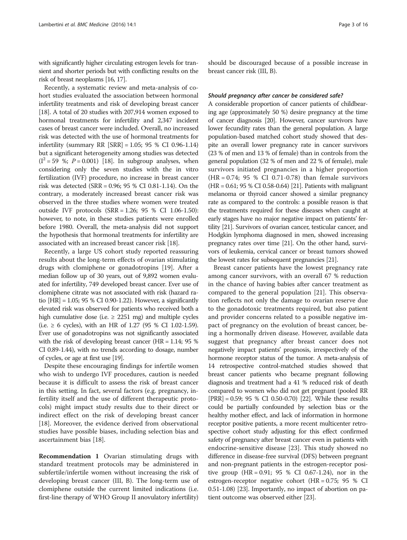with significantly higher circulating estrogen levels for transient and shorter periods but with conflicting results on the risk of breast neoplasms [\[16, 17\]](#page-12-0).

Recently, a systematic review and meta-analysis of cohort studies evaluated the association between hormonal infertility treatments and risk of developing breast cancer [[18](#page-12-0)]. A total of 20 studies with 207,914 women exposed to hormonal treatments for infertility and 2,347 incident cases of breast cancer were included. Overall, no increased risk was detected with the use of hormonal treatments for infertility (summary RR [SRR] = 1.05; 95 % CI 0.96-1.14) but a significant heterogeneity among studies was detected  $(I^2 = 59 \, \%; P = 0.001)$  [[18](#page-12-0)]. In subgroup analyses, when considering only the seven studies with the in vitro fertilization (IVF) procedure, no increase in breast cancer risk was detected (SRR = 0.96; 95 % CI 0.81-1.14). On the contrary, a moderately increased breast cancer risk was observed in the three studies where women were treated outside IVF protocols (SRR = 1.26; 95 % CI 1.06-1.50): however, to note, in these studies patients were enrolled before 1980. Overall, the meta-analysis did not support the hypothesis that hormonal treatments for infertility are associated with an increased breast cancer risk [[18](#page-12-0)].

Recently, a large US cohort study reported reassuring results about the long-term effects of ovarian stimulating drugs with clomiphene or gonadotropins [\[19\]](#page-12-0). After a median follow up of 30 years, out of 9,892 women evaluated for infertility, 749 developed breast cancer. Ever use of clomiphene citrate was not associated with risk (hazard ratio [HR] = 1.05; 95 % CI 0.90-1.22). However, a significantly elevated risk was observed for patients who received both a high cumulative dose (i.e.  $\geq$  2251 mg) and multiple cycles (i.e. ≥ 6 cycles), with an HR of 1.27 (95 % CI 1.02-1.59). Ever use of gonadotropins was not significantly associated with the risk of developing breast cancer (HR = 1.14; 95 % CI 0.89-1.44), with no trends according to dosage, number of cycles, or age at first use [\[19\]](#page-12-0).

Despite these encouraging findings for infertile women who wish to undergo IVF procedures, caution is needed because it is difficult to assess the risk of breast cancer in this setting. In fact, several factors (e.g. pregnancy, infertility itself and the use of different therapeutic protocols) might impact study results due to their direct or indirect effect on the risk of developing breast cancer [[18\]](#page-12-0). Moreover, the evidence derived from observational studies have possible biases, including selection bias and ascertainment bias [\[18\]](#page-12-0).

Recommendation 1 Ovarian stimulating drugs with standard treatment protocols may be administered in subfertile/infertile women without increasing the risk of developing breast cancer (III, B). The long-term use of clomiphene outside the current limited indications (i.e. first-line therapy of WHO Group II anovulatory infertility) should be discouraged because of a possible increase in breast cancer risk (III, B).

#### Should pregnancy after cancer be considered safe?

A considerable proportion of cancer patients of childbearing age (approximately 50 %) desire pregnancy at the time of cancer diagnosis [\[20\]](#page-12-0). However, cancer survivors have lower fecundity rates than the general population. A large population-based matched cohort study showed that despite an overall lower pregnancy rate in cancer survivors (23 % of men and 13 % of female) than in controls from the general population (32 % of men and 22 % of female), male survivors initiated pregnancies in a higher proportion (HR = 0.74; 95 % CI 0.71-0.78) than female survivors (HR = 0.61; 95 % CI 0.58-0.64) [\[21](#page-12-0)]. Patients with malignant melanoma or thyroid cancer showed a similar pregnancy rate as compared to the controls: a possible reason is that the treatments required for these diseases when caught at early stages have no major negative impact on patients' fertility [[21](#page-12-0)]. Survivors of ovarian cancer, testicular cancer, and Hodgkin lymphoma diagnosed in men, showed increasing pregnancy rates over time [[21](#page-12-0)]. On the other hand, survivors of leukemia, cervical cancer or breast tumors showed the lowest rates for subsequent pregnancies [\[21\]](#page-12-0).

Breast cancer patients have the lowest pregnancy rate among cancer survivors, with an overall 67 % reduction in the chance of having babies after cancer treatment as compared to the general population [[21\]](#page-12-0). This observation reflects not only the damage to ovarian reserve due to the gonadotoxic treatments required, but also patient and provider concerns related to a possible negative impact of pregnancy on the evolution of breast cancer, being a hormonally driven disease. However, available data suggest that pregnancy after breast cancer does not negatively impact patients' prognosis, irrespectively of the hormone receptor status of the tumor. A meta-analysis of 14 retrospective control-matched studies showed that breast cancer patients who became pregnant following diagnosis and treatment had a 41 % reduced risk of death compared to women who did not get pregnant (pooled RR [PRR] = 0.59; 95 % CI 0.50-0.70) [[22\]](#page-12-0). While these results could be partially confounded by selection bias or the healthy mother effect, and lack of information in hormone receptor positive patients, a more recent multicenter retrospective cohort study adjusting for this effect confirmed safety of pregnancy after breast cancer even in patients with endocrine-sensitive disease [\[23](#page-12-0)]. This study showed no difference in disease-free survival (DFS) between pregnant and non-pregnant patients in the estrogen-receptor positive group (HR = 0.91; 95 % CI 0.67-1.24), nor in the estrogen-receptor negative cohort (HR = 0.75; 95 % CI 0.51-1.08) [\[23\]](#page-12-0). Importantly, no impact of abortion on patient outcome was observed either [[23](#page-12-0)].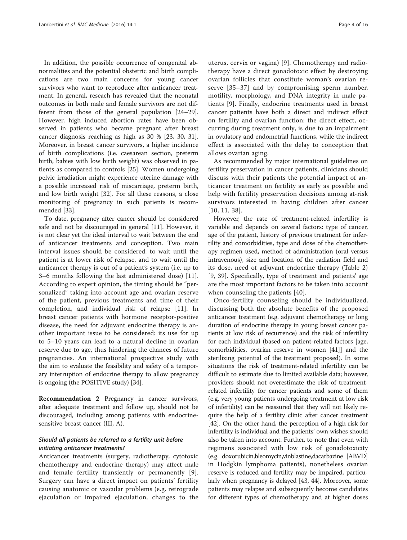In addition, the possible occurrence of congenital abnormalities and the potential obstetric and birth complications are two main concerns for young cancer survivors who want to reproduce after anticancer treatment. In general, reseach has revealed that the neonatal outcomes in both male and female survivors are not different from those of the general population [[24](#page-12-0)–[29](#page-12-0)]. However, high induced abortion rates have been observed in patients who became pregnant after breast cancer diagnosis reaching as high as 30 % [\[23](#page-12-0), [30](#page-12-0), [31](#page-12-0)]. Moreover, in breast cancer survivors, a higher incidence of birth complications (i.e. caesarean section, preterm birth, babies with low birth weight) was observed in patients as compared to controls [\[25](#page-12-0)]. Women undergoing pelvic irradiation might experience uterine damage with a possible increased risk of miscarriage, preterm birth, and low birth weight [\[32\]](#page-12-0). For all these reasons, a close monitoring of pregnancy in such patients is recommended [[33](#page-12-0)].

To date, pregnancy after cancer should be considered safe and not be discouraged in general [[11](#page-12-0)]. However, it is not clear yet the ideal interval to wait between the end of anticancer treatments and conception. Two main interval issues should be considered: to wait until the patient is at lower risk of relapse, and to wait until the anticancer therapy is out of a patient's system (i.e. up to 3–6 months following the last administered dose) [\[11](#page-12-0)]. According to expert opinion, the timing should be "personalized" taking into account age and ovarian reserve of the patient, previous treatments and time of their completion, and individual risk of relapse [\[11](#page-12-0)]. In breast cancer patients with hormone receptor-positive disease, the need for adjuvant endocrine therapy is another important issue to be considered: its use for up to 5–10 years can lead to a natural decline in ovarian reserve due to age, thus hindering the chances of future pregnancies. An international prospective study with the aim to evaluate the feasibility and safety of a temporary interruption of endocrine therapy to allow pregnancy is ongoing (the POSITIVE study) [\[34\]](#page-12-0).

Recommendation 2 Pregnancy in cancer survivors, after adequate treatment and follow up, should not be discouraged, including among patients with endocrinesensitive breast cancer (III, A).

# Should all patients be referred to a fertility unit before initiating anticancer treatments?

Anticancer treatments (surgery, radiotherapy, cytotoxic chemotherapy and endocrine therapy) may affect male and female fertility transiently or permanently [[9](#page-12-0)]. Surgery can have a direct impact on patients' fertility causing anatomic or vascular problems (e.g. retrograde ejaculation or impaired ejaculation, changes to the

uterus, cervix or vagina) [[9](#page-12-0)]. Chemotherapy and radiotherapy have a direct gonadotoxic effect by destroying ovarian follicles that constitute woman's ovarian reserve [\[35](#page-12-0)–[37\]](#page-12-0) and by compromising sperm number, motility, morphology, and DNA integrity in male patients [\[9](#page-12-0)]. Finally, endocrine treatments used in breast cancer patients have both a direct and indirect effect on fertility and ovarian function: the direct effect, occurring during treatment only, is due to an impairment in ovulatory and endometrial functions, while the indirect effect is associated with the delay to conception that allows ovarian aging.

As recommended by major international guidelines on fertility preservation in cancer patients, clinicians should discuss with their patients the potential impact of anticancer treatment on fertility as early as possible and help with fertility preservation decisions among at-risk survivors interested in having children after cancer [[10](#page-12-0), [11, 38](#page-12-0)].

However, the rate of treatment-related infertility is variable and depends on several factors: type of cancer, age of the patient, history of previous treatment for infertility and comorbidities, type and dose of the chemotherapy regimen used, method of administration (oral versus intravenous), size and location of the radiation field and its dose, need of adjuvant endocrine therapy (Table [2](#page-4-0)) [[9](#page-12-0), [39\]](#page-12-0). Specifically, type of treatment and patients' age are the most important factors to be taken into account when counseling the patients [[40](#page-12-0)].

Onco-fertility counseling should be individualized, discussing both the absolute benefits of the proposed anticancer treatment (e.g. adjuvant chemotherapy or long duration of endocrine therapy in young breast cancer patients at low risk of recurrence) and the risk of infertility for each individual (based on patient-related factors [age, comorbidities, ovarian reserve in women [\[41\]](#page-12-0)] and the sterilizing potential of the treatment proposed). In some situations the risk of treatment-related infertility can be difficult to estimate due to limited available data; however, providers should not overestimate the risk of treatmentrelated infertility for cancer patients and some of them (e.g. very young patients undergoing treatment at low risk of infertility) can be reassured that they will not likely require the help of a fertility clinic after cancer treatment [[42](#page-12-0)]. On the other hand, the perception of a high risk for infertility is individual and the patients' own wishes should also be taken into account. Further, to note that even with regimens associated with low risk of gonadotoxicity (e.g. doxorubicin,bleomycin,vinblastine,dacarbazine [ABVD] in Hodgkin lymphoma patients), nonetheless ovarian reserve is reduced and fertility may be impaired, particularly when pregnancy is delayed [\[43](#page-12-0), [44](#page-12-0)]. Moreover, some patients may relapse and subsequently become candidates for different types of chemotherapy and at higher doses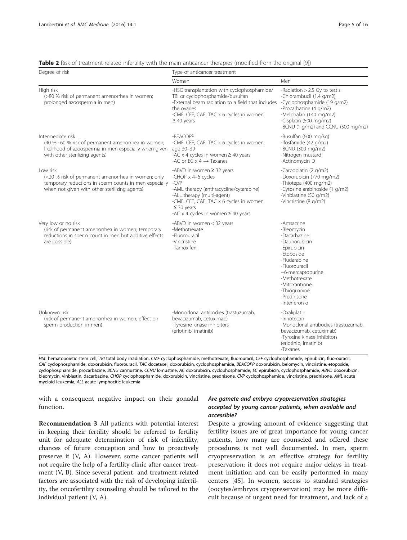| Degree of risk                                                                                                                                                            | Type of anticancer treatment                                                                                                                                                                                                                            |                                                                                                                                                                                                                                 |  |  |
|---------------------------------------------------------------------------------------------------------------------------------------------------------------------------|---------------------------------------------------------------------------------------------------------------------------------------------------------------------------------------------------------------------------------------------------------|---------------------------------------------------------------------------------------------------------------------------------------------------------------------------------------------------------------------------------|--|--|
|                                                                                                                                                                           | Women                                                                                                                                                                                                                                                   | Men                                                                                                                                                                                                                             |  |  |
| High risk<br>(>80 % risk of permanent amenorrhea in women;<br>prolonged azoospermia in men)                                                                               | -HSC transplantation with cyclophosphamide/<br>TBI or cyclophosphamide/busulfan<br>-External beam radiation to a field that includes<br>the ovaries<br>-CMF, CEF, CAF, TAC x 6 cycles in women<br>$\geq$ 40 years                                       | -Radiation $> 2.5$ Gy to testis<br>-Chlorambucil (1.4 g/m2)<br>-Cyclophosphamide (19 g/m2)<br>-Procarbazine (4 g/m2)<br>-Melphalan (140 mg/m2)<br>-Cisplatin (500 mg/m2)<br>-BCNU (1 g/m2) and CCNU (500 mg/m2)                 |  |  |
| Intermediate risk<br>(40 % - 60 % risk of permanent amenorrhea in women;<br>likelihood of azoospermia in men especially when given<br>with other sterilizing agents)      | -BEACOPP<br>-CMF, CEF, CAF, TAC x 6 cycles in women<br>age 30-39<br>-AC $\times$ 4 cycles in women $\geq$ 40 years<br>-AC or EC $\times$ 4 $\rightarrow$ Taxanes                                                                                        | -Busulfan (600 mg/kg)<br>-Ifosfamide (42 g/m2)<br>-BCNU (300 mg/m2)<br>-Nitrogen mustard<br>-Actinomycin D                                                                                                                      |  |  |
| Low risk<br>(<20 % risk of permanent amenorrhea in women; only<br>temporary reductions in sperm counts in men especially<br>when not given with other sterilizing agents) | -ABVD in women $\geq$ 32 years<br>-CHOP x 4-6 cycles<br>$-CVP$<br>-AML therapy (anthracycline/cytarabine)<br>-ALL therapy (multi-agent)<br>-CMF, CEF, CAF, TAC x 6 cycles in women<br>$\leq$ 30 years<br>-AC $\times$ 4 cycles in women $\leq$ 40 years | -Carboplatin (2 g/m2)<br>-Doxorubicin (770 mg/m2)<br>-Thiotepa (400 mg/m2)<br>-Cytosine arabinoside (1 g/m2)<br>-Vinblastine (50 g/m2)<br>-Vincristine (8 g/m2)                                                                 |  |  |
| Very low or no risk<br>(risk of permanent amenorrhea in women; temporary<br>reductions in sperm count in men but additive effects<br>are possible)                        | -ABVD in women < 32 years<br>-Methotrexate<br>-Fluorouracil<br>-Vincristine<br>-Tamoxifen                                                                                                                                                               | -Amsacrine<br>-Bleomycin<br>-Dacarbazine<br>-Daunorubicin<br>-Epirubicin<br>-Etoposide<br>-Fludarabine<br>-Fluorouracil<br>-6-mercaptopurine<br>-Methotrexate<br>-Mitoxantrone,<br>-Thioguanine<br>-Prednisone<br>-Interferon-a |  |  |
| Unknown risk<br>(risk of permanent amenorrhea in women; effect on<br>sperm production in men)                                                                             | -Monoclonal antibodies (trastuzumab,<br>bevacizumab, cetuximab)<br>-Tyrosine kinase inhibitors<br>(erlotinib, imatinib)                                                                                                                                 | -Oxaliplatin<br>-Irinotecan<br>-Monoclonal antibodies (trastuzumab,<br>bevacizumab, cetuximab)<br>-Tyrosine kinase inhibitors<br>(erlotinib, imatinib)<br>-Taxanes                                                              |  |  |

<span id="page-4-0"></span>Table 2 Risk of treatment-related infertility with the main anticancer therapies (modified from the original [\[9\]](#page-12-0))

HSC hematopoietic stem cell, TBI total body irradiation, CMF cyclophosphamide, methotrexate, fluorouracil, CEF cyclophosphamide, epirubicin, fluorouracil, CAF cyclophosphamide, doxorubicin, fluorouracil, TAC docetaxel, doxorubicin, cyclophosphamide, BEACOPP doxorubicin, belomycin, vincristine, etoposide, cyclophosphamide, procarbazine, BCNU carmustine, CCNU lomustine, AC doxorubicin, cyclophosphamide, EC epirubicin, cyclophosphamide, ABVD doxorubicin, bleomycin, vinblastin, dacarbazine, CHOP cyclophosphamide, doxorubicin, vincristine, prednisone, CVP cyclophosphamide, vincristine, prednisone, AML acute myeloid leukemia, ALL acute lymphocitic leukemia

with a consequent negative impact on their gonadal function.

Recommendation 3 All patients with potential interest in keeping their fertility should be referred to fertility unit for adequate determination of risk of infertility, chances of future conception and how to proactively preserve it (V, A). However, some cancer patients will not require the help of a fertility clinic after cancer treatment (V, B). Since several patient- and treatment-related factors are associated with the risk of developing infertility, the oncofertility counseling should be tailored to the individual patient (V, A).

# Are gamete and embryo cryopreservation strategies accepted by young cancer patients, when available and accessible?

Despite a growing amount of evidence suggesting that fertility issues are of great importance for young cancer patients, how many are counseled and offered these procedures is not well documented. In men, sperm cryopreservation is an effective strategy for fertility preservation: it does not require major delays in treatment initiation and can be easily performed in many centers [[45\]](#page-13-0). In women, access to standard strategies (oocytes/embryos cryopreservation) may be more difficult because of urgent need for treatment, and lack of a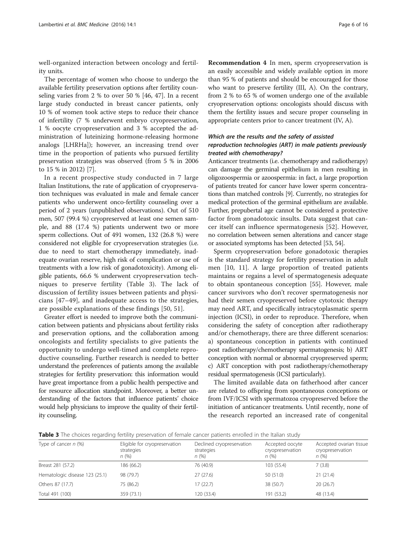well-organized interaction between oncology and fertility units.

The percentage of women who choose to undergo the available fertility preservation options after fertility counseling varies from 2 % to over 50 % [\[46](#page-13-0), [47](#page-13-0)]. In a recent large study conducted in breast cancer patients, only 10 % of women took active steps to reduce their chance of infertility (7 % underwent embryo cryopreservation, 1 % oocyte cryopreservation and 3 % accepted the administration of luteinizing hormone-releasing hormone analogs [LHRHa]); however, an increasing trend over time in the proportion of patients who pursued fertility preservation strategies was observed (from 5 % in 2006 to 15 % in 2012) [\[7](#page-12-0)].

In a recent prospective study conducted in 7 large Italian Institutions, the rate of application of cryopreservation techniques was evaluated in male and female cancer patients who underwent onco-fertility counseling over a period of 2 years (unpublished observations). Out of 510 men, 507 (99.4 %) cryopreserved at least one semen sample, and 88 (17.4 %) patients underwent two or more sperm collections. Out of 491 women, 132 (26.8 %) were considered not eligible for cryopreservation strategies (i.e. due to need to start chemotherapy immediately, inadequate ovarian reserve, high risk of complication or use of treatments with a low risk of gonadotoxicity). Among eligible patients, 66.6 % underwent cryopreservation techniques to preserve fertility (Table 3). The lack of discussion of fertility issues between patients and physicians [\[47](#page-13-0)–[49](#page-13-0)], and inadequate access to the strategies, are possible explanations of these findings [\[50](#page-13-0), [51](#page-13-0)].

Greater effort is needed to improve both the communication between patients and physicians about fertility risks and preservation options, and the collaboration among oncologists and fertility specialists to give patients the opportunity to undergo well-timed and complete reproductive counseling. Further research is needed to better understand the preferences of patients among the available strategies for fertility preservation: this information would have great importance from a public health perspective and for resource allocation standpoint. Moreover, a better understanding of the factors that influence patients' choice would help physicians to improve the quality of their fertility counseling.

Recommendation 4 In men, sperm cryopreservation is an easily accessible and widely available option in more than 95 % of patients and should be encouraged for those who want to preserve fertility (III, A). On the contrary, from 2 % to 65 % of women undergo one of the available cryopreservation options: oncologists should discuss with them the fertility issues and secure proper counseling in appropriate centers prior to cancer treatment (IV, A).

# Which are the results and the safety of assisted reproduction technologies (ART) in male patients previously treated with chemotherapy?

Anticancer treatments (i.e. chemotherapy and radiotherapy) can damage the germinal epithelium in men resulting in oligozoospermia or azoospermia: in fact, a large proportion of patients treated for cancer have lower sperm concentrations than matched controls [\[9\]](#page-12-0). Currently, no strategies for medical protection of the germinal epithelium are available. Further, prepubertal age cannot be considered a protective factor from gonadotoxic insults. Data suggest that cancer itself can influence spermatogenesis [[52\]](#page-13-0). However, no correlation between semen alterations and cancer stage or associated symptoms has been detected [\[53, 54\]](#page-13-0).

Sperm cryopreservation before gonadotoxic therapies is the standard strategy for fertility preservation in adult men [[10](#page-12-0), [11](#page-12-0)]. A large proportion of treated patients maintains or regains a level of spermatogenesis adequate to obtain spontaneous conception [[55](#page-13-0)]. However, male cancer survivors who don't recover spermatogenesis nor had their semen cryopreserved before cytotoxic therapy may need ART, and specifically intracytoplasmatic sperm injection (ICSI), in order to reproduce. Therefore, when considering the safety of conception after radiotherapy and/or chemotherapy, there are three different scenarios: a) spontaneous conception in patients with continued post radiotherapy/chemotherapy spermatogenesis; b) ART conception with normal or abnormal cryopreserved sperm; c) ART conception with post radiotherapy/chemotherapy residual spermatogenesis (ICSI particularly).

The limited available data on fatherhood after cancer are related to offspring from spontaneous conceptions or from IVF/ICSI with spermatozoa cryopreserved before the initiation of anticancer treatments. Until recently, none of the research reported an increased rate of congenital

Table 3 The choices regarding fertility preservation of female cancer patients enrolled in the Italian study

| Type of cancer $n$ (%)         | Eligible for cryopreservation<br>strategies<br>n (%) | Declined cryopreservation<br>strategies<br>n(%) | Accepted oocyte<br>cryopreservation<br>n (%) | Accepted ovarian tissue<br>cryopreservation<br>n(%) |
|--------------------------------|------------------------------------------------------|-------------------------------------------------|----------------------------------------------|-----------------------------------------------------|
| Breast 281 (57.2)              | 186 (66.2)                                           | 76 (40.9)                                       | 103 (55.4)                                   | 7(3.8)                                              |
| Hematologic disease 123 (25.1) | 98 (79.7)                                            | 27(27.6)                                        | 50(51.0)                                     | 21(21.4)                                            |
| Others 87 (17.7)               | 75 (86.2)                                            | 17 (22.7)                                       | 38 (50.7)                                    | 20(26.7)                                            |
| Total 491 (100)                | 359 (73.1)                                           | 120 (33.4)                                      | 191 (53.2)                                   | 48 (13.4)                                           |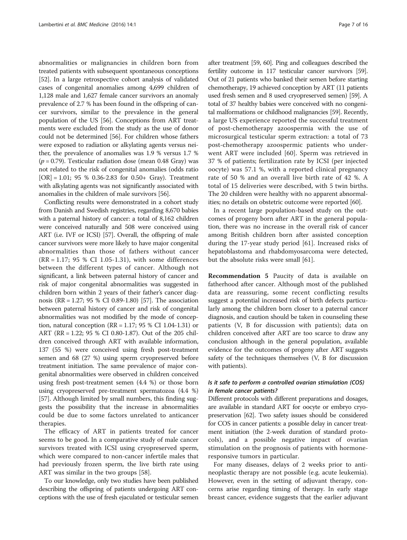abnormalities or malignancies in children born from treated patients with subsequent spontaneous conceptions [[52](#page-13-0)]. In a large retrospective cohort analysis of validated cases of congenital anomalies among 4,699 children of 1,128 male and 1,627 female cancer survivors an anomaly prevalence of 2.7 % has been found in the offspring of cancer survivors, similar to the prevalence in the general population of the US [\[56\]](#page-13-0). Conceptions from ART treatments were excluded from the study as the use of donor could not be determined [[56](#page-13-0)]. For children whose fathers were exposed to radiation or alkylating agents versus neither, the prevalence of anomalies was 1.9 % versus 1.7 %  $(p = 0.79)$ . Testicular radiation dose (mean 0.48 Gray) was not related to the risk of congenital anomalies (odds ratio  $[OR] = 1.01$ ; 95 % 0.36-2.83 for 0.50+ Gray). Treatment with alkylating agents was not significantly associated with anomalies in the children of male survivors [[56](#page-13-0)].

Conflicting results were demonstrated in a cohort study from Danish and Swedish registries, regarding 8,670 babies with a paternal history of cancer: a total of 8,162 children were conceived naturally and 508 were conceived using ART (i.e. IVF or ICSI) [[57](#page-13-0)]. Overall, the offspring of male cancer survivors were more likely to have major congenital abnormalities than those of fathers without cancer (RR = 1.17; 95 % CI 1.05-1.31), with some differences between the different types of cancer. Although not significant, a link between paternal history of cancer and risk of major congenital abnormalities was suggested in children born within 2 years of their father's cancer diagnosis (RR = 1.27; 95 % CI 0.89-1.80) [\[57\]](#page-13-0). The association between paternal history of cancer and risk of congenital abnormalities was not modified by the mode of conception, natural conception (RR = 1.17; 95 % CI 1.04-1.31) or ART (RR = 1.22; 95 % CI 0.80-1.87). Out of the 205 children conceived through ART with available information, 137 (55 %) were conceived using fresh post-treatment semen and 68 (27 %) using sperm cryopreserved before treatment initiation. The same prevalence of major congenital abnormalities were observed in children conceived using fresh post-treatment semen (4.4 %) or those born using cryopreserved pre-treatment spermatozoa (4.4 %) [[57](#page-13-0)]. Although limited by small numbers, this finding suggests the possibility that the increase in abnormalities could be due to some factors unrelated to anticancer therapies.

The efficacy of ART in patients treated for cancer seems to be good. In a comparative study of male cancer survivors treated with ICSI using cryopreserved sperm, which were compared to non-cancer infertile males that had previously frozen sperm, the live birth rate using ART was similar in the two groups [\[58](#page-13-0)].

To our knowledge, only two studies have been published describing the offspring of patients undergoing ART conceptions with the use of fresh ejaculated or testicular semen after treatment [[59](#page-13-0), [60\]](#page-13-0). Ping and colleagues described the fertility outcome in 117 testicular cancer survivors [\[59](#page-13-0)]. Out of 21 patients who banked their semen before starting chemotherapy, 19 achieved conception by ART (11 patients used fresh semen and 8 used cryopreserved semen) [\[59\]](#page-13-0). A total of 37 healthy babies were conceived with no congenital malformations or childhood malignancies [\[59](#page-13-0)]. Recently, a large US experience reported the successful treatment of post-chemotherapy azoospermia with the use of microsurgical testicular sperm extraction: a total of 73 post-chemotherapy azoospermic patients who underwent ART were included [[60\]](#page-13-0). Sperm was retrieved in 37 % of patients; fertilization rate by ICSI (per injected oocyte) was 57.1 %, with a reported clinical pregnancy rate of 50 % and an overall live birth rate of 42 %. A total of 15 deliveries were described, with 5 twin births. The 20 children were healthy with no apparent abnormalities; no details on obstetric outcome were reported [\[60](#page-13-0)].

In a recent large population-based study on the outcomes of progeny born after ART in the general population, there was no increase in the overall risk of cancer among British children born after assisted conception during the 17-year study period [[61\]](#page-13-0). Increased risks of hepatoblastoma and rhabdomyosarcoma were detected, but the absolute risks were small [\[61](#page-13-0)].

Recommendation 5 Paucity of data is available on fatherhood after cancer. Although most of the published data are reassuring, some recent conflicting results suggest a potential increased risk of birth defects particularly among the children born closer to a paternal cancer diagnosis, and caution should be taken in counseling these patients (V, B for discussion with patients); data on children conceived after ART are too scarce to draw any conclusion although in the general population, available evidence for the outcomes of progeny after ART suggests safety of the techniques themselves (V, B for discussion with patients).

### Is it safe to perform a controlled ovarian stimulation (COS) in female cancer patients?

Different protocols with different preparations and dosages, are available in standard ART for oocyte or embryo cryopreservation [\[62](#page-13-0)]. Two safety issues should be considered for COS in cancer patients: a possible delay in cancer treatment initiation (the 2-week duration of standard protocols), and a possible negative impact of ovarian stimulation on the prognosis of patients with hormoneresponsive tumors in particular.

For many diseases, delays of 2 weeks prior to antineoplastic therapy are not possible (e.g. acute leukemia). However, even in the setting of adjuvant therapy, concerns arise regarding timing of therapy. In early stage breast cancer, evidence suggests that the earlier adjuvant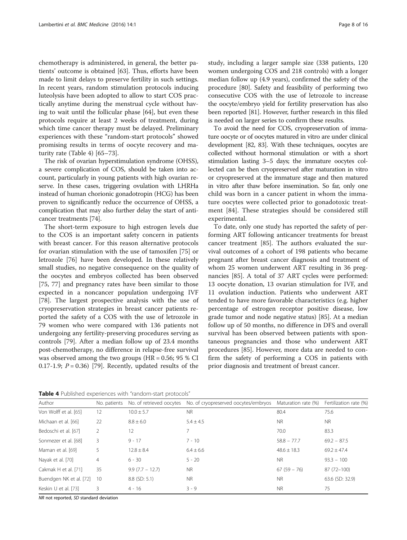chemotherapy is administered, in general, the better patients' outcome is obtained [\[63\]](#page-13-0). Thus, efforts have been made to limit delays to preserve fertility in such settings. In recent years, random stimulation protocols inducing luteolysis have been adopted to allow to start COS practically anytime during the menstrual cycle without having to wait until the follicular phase [\[64\]](#page-13-0), but even these protocols require at least 2 weeks of treatment, during which time cancer therapy must be delayed. Preliminary experiences with these "random-start protocols" showed promising results in terms of oocyte recovery and maturity rate (Table 4) [[65](#page-13-0)–[73\]](#page-13-0).

The risk of ovarian hyperstimulation syndrome (OHSS), a severe complication of COS, should be taken into account, particularly in young patients with high ovarian reserve. In these cases, triggering ovulation with LHRHa instead of human chorionic gonadotropin (HCG) has been proven to significantly reduce the occurrence of OHSS, a complication that may also further delay the start of anticancer treatments [\[74\]](#page-13-0).

The short-term exposure to high estrogen levels due to the COS is an important safety concern in patients with breast cancer. For this reason alternative protocols for ovarian stimulation with the use of tamoxifen [[75](#page-13-0)] or letrozole [\[76\]](#page-13-0) have been developed. In these relatively small studies, no negative consequence on the quality of the oocytes and embryos collected has been observed [[75, 77](#page-13-0)] and pregnancy rates have been similar to those expected in a noncancer population undergoing IVF [[78\]](#page-13-0). The largest prospective analysis with the use of cryopreservation strategies in breast cancer patients reported the safety of a COS with the use of letrozole in 79 women who were compared with 136 patients not undergoing any fertility-preserving procedures serving as controls [[79\]](#page-13-0). After a median follow up of 23.4 months post-chemotherapy, no difference in relapse-free survival was observed among the two groups  $(HR = 0.56; 95 \times CI)$ 0.17-1.9;  $P = 0.36$  [[79](#page-13-0)]. Recently, updated results of the study, including a larger sample size (338 patients, 120 women undergoing COS and 218 controls) with a longer median follow up (4.9 years), confirmed the safety of the procedure [\[80](#page-13-0)]. Safety and feasibility of performing two consecutive COS with the use of letrozole to increase the oocyte/embryo yield for fertility preservation has also been reported [\[81\]](#page-13-0). However, further research in this filed is needed on larger series to confirm these results.

To avoid the need for COS, cryopreservation of immature oocyte or of oocytes matured in vitro are under clinical development [\[82, 83](#page-13-0)]. With these techniques, oocytes are collected without hormonal stimulation or with a short stimulation lasting 3–5 days; the immature oocytes collected can be then cryopreserved after maturation in vitro or cryopreserved at the immature stage and then matured in vitro after thaw before insemination. So far, only one child was born in a cancer patient in whom the immature oocytes were collected prior to gonadotoxic treatment [[84](#page-13-0)]. These strategies should be considered still experimental.

To date, only one study has reported the safety of performing ART following anticancer treatments for breast cancer treatment [\[85](#page-13-0)]. The authors evaluated the survival outcomes of a cohort of 198 patients who became pregnant after breast cancer diagnosis and treatment of whom 25 women underwent ART resulting in 36 pregnancies [\[85\]](#page-13-0). A total of 37 ART cycles were performed: 13 oocyte donation, 13 ovarian stimulation for IVF, and 11 ovulation induction. Patients who underwent ART tended to have more favorable characteristics (e.g. higher percentage of estrogen receptor positive disease, low grade tumor and node negative status) [[85](#page-13-0)]. At a median follow up of 50 months, no difference in DFS and overall survival has been observed between patients with spontaneous pregnancies and those who underwent ART procedures [\[85](#page-13-0)]. However, more data are needed to confirm the safety of performing a COS in patients with prior diagnosis and treatment of breast cancer.

Table 4 Published experiences with "random-start protocols"

| Author                  | No. patients | No. of retrieved oocytes | No. of cryopreserved oocytes/embryos | Maturation rate (%) | Fertilization rate (%) |
|-------------------------|--------------|--------------------------|--------------------------------------|---------------------|------------------------|
| Von Wolff et al. [65]   | 12           | $10.0 \pm 5.7$           | <b>NR</b>                            | 80.4                | 75.6                   |
| Michaan et al. [66]     | 22           | $8.8 \pm 6.0$            | $5.4 \pm 4.5$                        | <b>NR</b>           | <b>NR</b>              |
| Bedoschi et al. [67]    | 2            | $12 \overline{ }$        |                                      | 70.0                | 83.3                   |
| Sonmezer et al. [68]    | 3            | $9 - 17$                 | $7 - 10$                             | $58.8 - 77.7$       | $69.2 - 87.5$          |
| Maman et al. [69]       | 5            | $12.8 \pm 8.4$           | $6.4 \pm 6.6$                        | $48.6 \pm 18.3$     | $69.2 \pm 47.4$        |
| Nayak et al. [70]       | 4            | $6 - 30$                 | $5 - 20$                             | NR.                 | $93.3 - 100$           |
| Cakmak H et al. [71]    | 35           | $9.9(7.7 - 12.7)$        | NR.                                  | $67(59 - 76)$       | 87 (72-100)            |
| Buendgen NK et al. [72] | 10           | 8.8 (SD: 5.1)            | NR.                                  | <b>NR</b>           | 63.6 (SD: 32.9)        |
| Keskin U et al. [73]    | 3            | $4 - 16$                 | $3 - 9$                              | <b>NR</b>           | 75                     |

NR not reported, SD standard deviation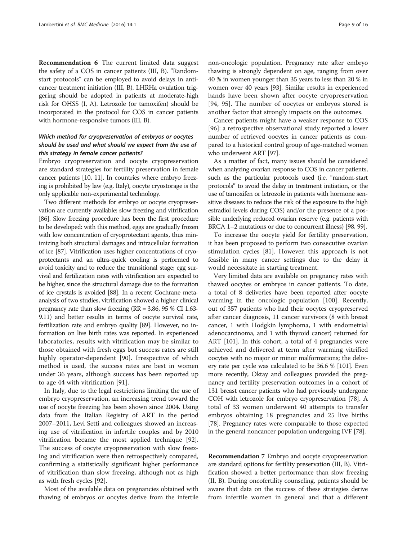Recommendation 6 The current limited data suggest the safety of a COS in cancer patients (III, B). "Randomstart protocols" can be employed to avoid delays in anticancer treatment initiation (III, B). LHRHa ovulation triggering should be adopted in patients at moderate-high risk for OHSS (I, A). Letrozole (or tamoxifen) should be incorporated in the protocol for COS in cancer patients with hormone-responsive tumors (III, B).

# Which method for cryopreservation of embryos or oocytes should be used and what should we expect from the use of this strategy in female cancer patients?

Embryo cryopreservation and oocyte cryopreservation are standard strategies for fertility preservation in female cancer patients [\[10, 11\]](#page-12-0). In countries where embryo freezing is prohibited by law (e.g. Italy), oocyte cryostorage is the only applicable non-experimental technology.

Two different methods for embryo or oocyte cryopreservation are currently available: slow freezing and vitrification [[86](#page-13-0)]. Slow freezing procedure has been the first procedure to be developed: with this method, eggs are gradually frozen with low concentration of cryoprotectant agents, thus minimizing both structural damages and intracellular formation of ice [\[87\]](#page-13-0). Vitrification uses higher concentrations of cryoprotectants and an ultra-quick cooling is performed to avoid toxicity and to reduce the transitional stage; egg survival and fertilization rates with vitrification are expected to be higher, since the structural damage due to the formation of ice crystals is avoided [[88](#page-13-0)]. In a recent Cochrane metaanalysis of two studies, vitrification showed a higher clinical pregnancy rate than slow freezing (RR = 3.86, 95 % CI 1.63- 9.11) and better results in terms of oocyte survival rate, fertilization rate and embryo quality [\[89\]](#page-13-0). However, no information on live birth rates was reported. In experienced laboratories, results with vitrification may be similar to those obtained with fresh eggs but success rates are still highly operator-dependent [\[90](#page-14-0)]. Irrespective of which method is used, the success rates are best in women under 36 years, although success has been reported up to age 44 with vitrification [\[91](#page-14-0)].

In Italy, due to the legal restrictions limiting the use of embryo cryopreservation, an increasing trend toward the use of oocyte freezing has been shown since 2004. Using data from the Italian Registry of ART in the period 2007–2011, Levi Setti and colleagues showed an increasing use of vitrification in infertile couples and by 2010 vitrification became the most applied technique [\[92](#page-14-0)]. The success of oocyte cryopreservation with slow freezing and vitrification were then retrospectively compared, confirming a statistically significant higher performance of vitrification than slow freezing, although not as high as with fresh cycles [[92\]](#page-14-0).

Most of the available data on pregnancies obtained with thawing of embryos or oocytes derive from the infertile

non-oncologic population. Pregnancy rate after embryo thawing is strongly dependent on age, ranging from over 40 % in women younger than 35 years to less than 20 % in women over 40 years [\[93\]](#page-14-0). Similar results in experienced hands have been shown after oocyte cryopreservation [[94, 95](#page-14-0)]. The number of oocytes or embryos stored is another factor that strongly impacts on the outcomes.

Cancer patients might have a weaker response to COS [[96\]](#page-14-0): a retrospective observational study reported a lower number of retrieved oocytes in cancer patients as compared to a historical control group of age-matched women who underwent ART [[97](#page-14-0)].

As a matter of fact, many issues should be considered when analyzing ovarian response to COS in cancer patients, such as the particular protocols used (i.e. "random-start protocols" to avoid the delay in treatment initiation, or the use of tamoxifen or letrozole in patients with hormone sensitive diseases to reduce the risk of the exposure to the high estradiol levels during COS) and/or the presence of a possible underlying reduced ovarian reserve (e.g. patients with BRCA 1–2 mutations or due to concurrent illness) [[98](#page-14-0), [99](#page-14-0)].

To increase the oocyte yield for fertility preservation, it has been proposed to perform two consecutive ovarian stimulation cycles [[81\]](#page-13-0). However, this approach is not feasible in many cancer settings due to the delay it would necessitate in starting treatment.

Very limited data are available on pregnancy rates with thawed oocytes or embryos in cancer patients. To date, a total of 8 deliveries have been reported after oocyte warming in the oncologic population [[100\]](#page-14-0). Recently, out of 357 patients who had their oocytes cryopreserved after cancer diagnosis, 11 cancer survivors (8 with breast cancer, 1 with Hodgkin lymphoma, 1 with endometrial adenocarcinoma, and 1 with thyroid cancer) returned for ART [[101](#page-14-0)]. In this cohort, a total of 4 pregnancies were achieved and delivered at term after warming vitrified oocytes with no major or minor malformations; the delivery rate per cycle was calculated to be 36.6 % [\[101\]](#page-14-0). Even more recently, Oktay and colleagues provided the pregnancy and fertility preservation outcomes in a cohort of 131 breast cancer patients who had previously undergone COH with letrozole for embryo cryopreservation [\[78\]](#page-13-0). A total of 33 women underwent 40 attempts to transfer embryos obtaining 18 pregnancies and 25 live births [[78](#page-13-0)]. Pregnancy rates were comparable to those expected in the general noncancer population undergoing IVF [[78](#page-13-0)].

Recommendation 7 Embryo and oocyte cryopreservation are standard options for fertility preservation (III, B). Vitrification showed a better performance than slow freezing (II, B). During oncofertility counseling, patients should be aware that data on the success of these strategies derive from infertile women in general and that a different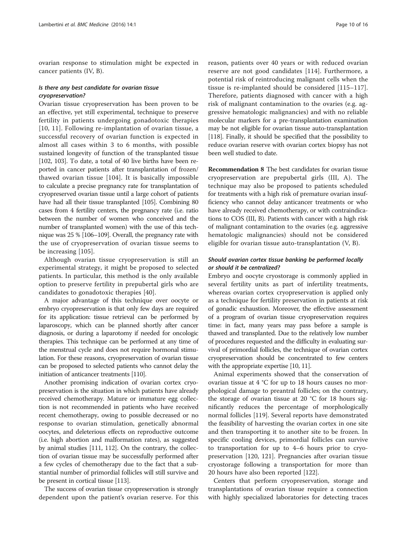ovarian response to stimulation might be expected in cancer patients (IV, B).

#### Is there any best candidate for ovarian tissue cryopreservation?

Ovarian tissue cryopreservation has been proven to be an effective, yet still experimental, technique to preserve fertility in patients undergoing gonadotoxic therapies [[10](#page-12-0), [11](#page-12-0)]. Following re-implantation of ovarian tissue, a successful recovery of ovarian function is expected in almost all cases within 3 to 6 months, with possible sustained longevity of function of the transplanted tissue [[102](#page-14-0), [103](#page-14-0)]. To date, a total of 40 live births have been reported in cancer patients after transplantation of frozen/ thawed ovarian tissue [[104\]](#page-14-0). It is basically impossible to calculate a precise pregnancy rate for transplantation of cryopreserved ovarian tissue until a large cohort of patients have had all their tissue transplanted [[105\]](#page-14-0). Combining 80 cases from 4 fertility centers, the pregnancy rate (i.e. ratio between the number of women who conceived and the number of transplanted women) with the use of this technique was 25 % [\[106](#page-14-0)–[109](#page-14-0)]. Overall, the pregnancy rate with the use of cryopreservation of ovarian tissue seems to be increasing [[105\]](#page-14-0).

Although ovarian tissue cryopreservation is still an experimental strategy, it might be proposed to selected patients. In particular, this method is the only available option to preserve fertility in prepubertal girls who are candidates to gonadotoxic therapies [[40](#page-12-0)].

A major advantage of this technique over oocyte or embryo cryopreservation is that only few days are required for its application: tissue retrieval can be performed by laparoscopy, which can be planned shortly after cancer diagnosis, or during a laparotomy if needed for oncologic therapies. This technique can be performed at any time of the menstrual cycle and does not require hormonal stimulation. For these reasons, cryopreservation of ovarian tissue can be proposed to selected patients who cannot delay the initiation of anticancer treatments [\[110](#page-14-0)].

Another promising indication of ovarian cortex cryopreservation is the situation in which patients have already received chemotherapy. Mature or immature egg collection is not recommended in patients who have received recent chemotherapy, owing to possible decreased or no response to ovarian stimulation, genetically abnormal oocytes, and deleterious effects on reproductive outcome (i.e. high abortion and malformation rates), as suggested by animal studies [[111](#page-14-0), [112](#page-14-0)]. On the contrary, the collection of ovarian tissue may be successfully performed after a few cycles of chemotherapy due to the fact that a substantial number of primordial follicles will still survive and be present in cortical tissue [\[113\]](#page-14-0).

The success of ovarian tissue cryopreservation is strongly dependent upon the patient's ovarian reserve. For this

reason, patients over 40 years or with reduced ovarian reserve are not good candidates [[114\]](#page-14-0). Furthermore, a potential risk of reintroducing malignant cells when the tissue is re-implanted should be considered [\[115](#page-14-0)–[117](#page-14-0)]. Therefore, patients diagnosed with cancer with a high risk of malignant contamination to the ovaries (e.g. aggressive hematologic malignancies) and with no reliable molecular markers for a pre-transplantation examination may be not eligible for ovarian tissue auto-transplantation [[118](#page-14-0)]. Finally, it should be specified that the possibility to reduce ovarian reserve with ovarian cortex biopsy has not been well studied to date.

Recommendation 8 The best candidates for ovarian tissue cryopreservation are prepubertal girls (III, A). The technique may also be proposed to patients scheduled for treatments with a high risk of premature ovarian insufficiency who cannot delay anticancer treatments or who have already received chemotherapy, or with contraindications to COS (III, B). Patients with cancer with a high risk of malignant contamination to the ovaries (e.g. aggressive hematologic malignancies) should not be considered eligible for ovarian tissue auto-transplantation (V, B).

### Should ovarian cortex tissue banking be performed locally or should it be centralized?

Embryo and oocyte cryostorage is commonly applied in several fertility units as part of infertility treatments, whereas ovarian cortex cryopreservation is applied only as a technique for fertility preservation in patients at risk of gonadic exhaustion. Moreover, the effective assessment of a program of ovarian tissue cryopreservation requires time: in fact, many years may pass before a sample is thawed and transplanted. Due to the relatively low number of procedures requested and the difficulty in evaluating survival of primordial follicles, the technique of ovarian cortex cryopreservation should be concentrated to few centers with the appropriate expertise [\[10, 11\]](#page-12-0).

Animal experiments showed that the conservation of ovarian tissue at 4 °C for up to 18 hours causes no morphological damage to preantral follicles; on the contrary, the storage of ovarian tissue at 20 °C for 18 hours significantly reduces the percentage of morphologically normal follicles [[119\]](#page-14-0). Several reports have demonstrated the feasibility of harvesting the ovarian cortex in one site and then transporting it to another site to be frozen. In specific cooling devices, primordial follicles can survive to transportation for up to 4–6 hours prior to cryopreservation [\[120](#page-14-0), [121\]](#page-14-0). Pregnancies after ovarian tissue cryostorage following a transportation for more than 20 hours have also been reported [\[122\]](#page-14-0).

Centers that perform cryopreservation, storage and transplantations of ovarian tissue require a connection with highly specialized laboratories for detecting traces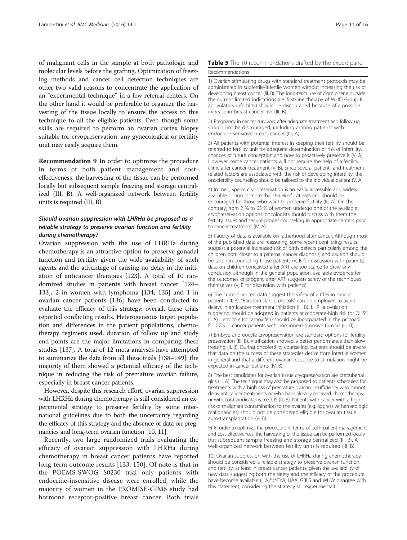<span id="page-10-0"></span>of malignant cells in the sample at both pathologic and molecular levels before the grafting. Optimization of freezing methods and cancer cell detection techniques are other two valid reasons to concentrate the application of an "experimental technique" in a few referral centers. On the other hand it would be preferable to organize the harvesting of the tissue locally to ensure the access to this technique to all the eligible patients. Even though some skills are required to perform an ovarian cortex biopsy suitable for cryopreservation, any gynecological or fertility unit may easily acquire them.

Recommendation 9 In order to optimize the procedure in terms of both patient management and costeffectiveness, the harvesting of the tissue can be performed locally but subsequent sample freezing and storage centralized (III, B). A well-organized network between fertility units is required (III, B).

# Should ovarian suppression with LHRHa be proposed as a reliable strategy to preserve ovarian function and fertility during chemotherapy?

Ovarian suppression with the use of LHRHa during chemotherapy is an attractive option to preserve gonadal function and fertility given the wide availability of such agents and the advantage of causing no delay in the initiation of anticancer therapies [[123](#page-14-0)]. A total of 10 randomized studies in patients with breast cancer [[124](#page-14-0)– [133](#page-14-0)], 2 in women with lymphoma [\[134](#page-15-0), [135](#page-15-0)] and 1 in ovarian cancer patients [[136\]](#page-15-0) have been conducted to evaluate the efficacy of this strategy: overall, these trials reported conflicting results. Heterogeneous target population and differences in the patient populations, chemotherapy regimens used, duration of follow up and study end-points are the major limitations in comparing these studies [[137](#page-15-0)]. A total of 12 meta-analyses have attempted to summarize the data from all these trials [[138](#page-15-0)–[149\]](#page-15-0): the majority of them showed a potential efficacy of the technique in reducing the risk of premature ovarian failure, especially in breast cancer patients.

However, despite this research effort, ovarian suppression with LHRHa during chemotherapy is still considered an experimental strategy to preserve fertility by some international guidelines due to both the uncertainty regarding the efficacy of this strategy and the absence of data on pregnancies and long-term ovarian function [\[10](#page-12-0), [11](#page-12-0)].

Recently, two large randomized trials evaluating the efficacy of ovarian suppression with LHRHa during chemotherapy in breast cancer patients have reported long-term outcome results [[133,](#page-14-0) [150\]](#page-15-0). Of note is that in the POEMS-SWOG S0230 trial only patients with endocrine-insensitive disease were enrolled, while the majority of women in the PROMISE-GIM6 study had hormone receptor-positive breast cancer. Both trials

#### Table 5 The 10 recommendations drafted by the expert panel

#### Recommendations

1) Ovarian stimulating drugs with standard treatment protocols may be administered in subfertile/infertile women without increasing the risk of developing breast cancer (III, B). The long-term use of clomiphene outside the current limited indications (i.e. first-line therapy of WHO Group II anovulatory infertility) should be discouraged because of a possible increase in breast cancer risk (III, B).

2) Pregnancy in cancer survivors, after adequate treatment and follow up, should not be discouraged, including among patients with endocrine-sensitive breast cancer (III, A).

3) All patients with potential interest in keeping their fertility should be referred to fertility unit for adequate determination of risk of infertility, chances of future conception and how to proactively preserve it (V, A). However, some cancer patients will not require the help of a fertility clinic after cancer treatment (V, B). Since several patient- and treatmentrelated factors are associated with the risk of developing infertility, the oncofertility counseling should be tailored to the individual patient (V, A).

4) In men, sperm cryopreservation is an easily accessible and widely available option in more than 95 % of patients and should be encouraged for those who want to preserve fertility (III, A). On the contrary, from 2 % to 65 % of women undergo one of the available cryopreservation options: oncologists should discuss with them the fertility issues and secure proper counseling in appropriate centers prior to cancer treatment (IV, A).

5) Paucity of data is available on fatherhood after cancer. Although most of the published data are reassuring, some recent conflicting results suggest a potential increased risk of birth defects particularly among the children born closer to a paternal cancer diagnosis, and caution should be taken in counseling these patients (V, B for discussion with patients); data on children conceived after ART are too scarce to draw any conclusion although in the general population, available evidence for the outcomes of progeny after ART suggests safety of the techniques themselves (V, B for discussion with patients).

6) The current limited data suggest the safety of a COS in cancer patients (III, B). "Random-start protocols" can be employed to avoid delays in anticancer treatment initiation (III, B). LHRHa ovulation triggering should be adopted in patients at moderate-high risk for OHSS (I, A). Letrozole (or tamoxifen) should be incorporated in the protocol for COS in cancer patients with hormone-responsive tumors (III, B).

7) Embryo and oocyte cryopreservation are standard options for fertility preservation (III, B). Vitrification showed a better performance than slow freezing (II, B). During oncofertility counseling, patients should be aware that data on the success of these strategies derive from infertile women in general and that a different ovarian response to stimulation might be expected in cancer patients (IV, B).

8) The best candidates for ovarian tissue cryopreservation are prepubertal girls (III, A). The technique may also be proposed to patients scheduled for treatments with a high risk of premature ovarian insufficiency who cannot delay anticancer treatments or who have already received chemotherapy, or with contraindications to COS (III, B). Patients with cancer with a high risk of malignant contamination to the ovaries (e.g. aggressive hematologic malignancies) should not be considered eligible for ovarian tissue auto-transplantation (V, B).

9) In order to optimize the procedure in terms of both patient management and cost-effectiveness, the harvesting of the tissue can be performed locally but subsequent sample freezing and storage centralized (III, B). A well-organized network between fertility units is required (III, B).

10) Ovarian suppression with the use of LHRHa during chemotherapy should be considered a reliable strategy to preserve ovarian function and fertility, at least in breast cancer patients, given the availability of new data suggesting both the safety and the efficacy of the procedure have become available (I, A)\*.(\*CYA, HAA, GBLS and WHW disagree with this statement, considering the strategy still experimental).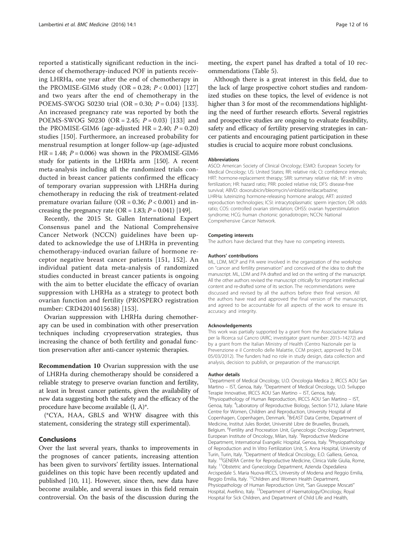reported a statistically significant reduction in the incidence of chemotherapy-induced POF in patients receiving LHRHa, one year after the end of chemotherapy in the PROMISE-GIM6 study (OR = 0.28;  $P < 0.001$ ) [\[127](#page-14-0)] and two years after the end of chemotherapy in the POEMS-SWOG S0230 trial (OR = 0.30; P = 0.04) [\[133](#page-14-0)]. An increased pregnancy rate was reported by both the POEMS-SWOG S0230 (OR = 2.45;  $P = 0.03$ ) [[133\]](#page-14-0) and the PROMISE-GIM6 (age-adjusted HR =  $2.40; P = 0.20$ ) studies [\[150](#page-15-0)]. Furthermore, an increased probability for menstrual resumption at longer follow-up (age-adjusted  $HR = 1.48; P = 0.006$  was shown in the PROMISE-GIM6 study for patients in the LHRHa arm [\[150\]](#page-15-0). A recent meta-analysis including all the randomized trials conducted in breast cancer patients confirmed the efficacy of temporary ovarian suppression with LHRHa during chemotherapy in reducing the risk of treatment-related premature ovarian failure (OR =  $0.36$ ;  $P < 0.001$ ) and increasing the pregnancy rate (OR = 1.83;  $P = 0.041$ ) [\[149\]](#page-15-0).

Recently, the 2015 St. Gallen International Expert Consensus panel and the National Comprehensive Cancer Network (NCCN) guidelines have been updated to acknowledge the use of LHRHa in preventing chemotherapy-induced ovarian failure of hormone receptor negative breast cancer patients [[151](#page-15-0), [152](#page-15-0)]. An individual patient data meta-analysis of randomized studies conducted in breast cancer patients is ongoing with the aim to better elucidate the efficacy of ovarian suppression with LHRHa as a strategy to protect both ovarian function and fertility (PROSPERO registration number: CRD42014015638) [[153\]](#page-15-0).

Ovarian suppression with LHRHa during chemotherapy can be used in combination with other preservation techniques including cryopreservation strategies, thus increasing the chance of both fertility and gonadal function preservation after anti-cancer systemic therapies.

Recommendation 10 Ovarian suppression with the use of LHRHa during chemotherapy should be considered a reliable strategy to preserve ovarian function and fertility, at least in breast cancer patients, given the availability of new data suggesting both the safety and the efficacy of the procedure have become available (I, A)\*.

(\*CYA, HAA, GBLS and WHW disagree with this statement, considering the strategy still experimental).

# Conclusions

Over the last several years, thanks to improvements in the prognoses of cancer patients, increasing attention has been given to survivors' fertility issues. International guidelines on this topic have been recently updated and published [\[10](#page-12-0), [11](#page-12-0)]. However, since then, new data have become available, and several issues in this field remain controversial. On the basis of the discussion during the

meeting, the expert panel has drafted a total of 10 recommendations (Table [5\)](#page-10-0).

Although there is a great interest in this field, due to the lack of large prospective cohort studies and randomized studies on these topics, the level of evidence is not higher than 3 for most of the recommendations highlighting the need of further research efforts. Several registries and prospective studies are ongoing to evaluate feasibility, safety and efficacy of fertility preserving strategies in cancer patients and encouraging patient participation in these studies is crucial to acquire more robust conclusions.

#### Abbreviations

ASCO: American Society of Clinical Oncology; ESMO: European Society for Medical Oncology; US: United States; RR: relative risk; CI: confidence intervals; HRT: hormone-replacement therapy; SRR: summary relative risk; IVF: in vitro fertilization; HR: hazard ratio; PRR: pooled relative risk; DFS: disease-free survival; ABVD: doxorubicin/bleomycin/vinblastine/dacarbazine; LHRHa: luteinizing hormone-releasing hormone analogs; ART: assisted reproduction technologies; ICSI: intracytoplasmatic sperm injection; OR: odds ratio; COS: controlled ovarian stimulation; OHSS: ovarian hyperstimulation syndrome; HCG: human chorionic gonadotropin; NCCN: National Comprehensive Cancer Network.

#### Competing interests

The authors have declared that they have no competing interests.

#### Authors' contributions

ML, LDM, MCP and PA were involved in the organization of the workshop on "cancer and fertility preservation" and conceived of the idea to draft the manuscript. ML, LDM and PA drafted and led on the writing of the manuscript. All the other authors revised the manuscript critically for important intellectual content and re-drafted some of its section. The recommendations were discussed and revised by all the authors before their final version. All the authors have read and approved the final version of the manuscript, and agreed to be accountable for all aspects of the work to ensure its accuracy and integrity.

#### Acknowledgements

This work was partially supported by a grant from the Associazione Italiana per la Ricerca sul Cancro (AIRC; investigator grant number: 2013–14272) and by a grant from the Italian Ministry of Health (Centro Nazionale per la Prevenzione e il Controllo delle Malattie, CCM project, approved by D.M. 05/03/2012). The funders had no role in study design, data collection and analysis, decision to publish, or preparation of the manuscript.

#### Author details

<sup>1</sup>Department of Medical Oncology, U.O. Oncologia Medica 2, IRCCS AOU San Martino - IST, Genoa, Italy. <sup>2</sup> Department of Medical Oncology, U.O. Sviluppo Terapie Innovative, IRCCS AOU San Martino – IST, Genoa, Italy. <sup>3</sup> <sup>3</sup>Physiopathology of Human Reproduction, IRCCS AOU San Martino – IST, Genoa, Italy. <sup>4</sup> Laboratory of Reproductive Biology, Section 5712, Juliane Marie Centre for Women, Children and Reproduction, University Hospital of Copenhagen, Copenhagen, Denmark. <sup>5</sup>BrEAST Data Centre, Department of Medicine, Institut Jules Bordet, Université Libre de Bruxelles, Brussels, Belgium. <sup>6</sup>Fertility and Procreation Unit, Gynecologic Oncology Department, European Institute of Oncology, Milan, Italy. <sup>7</sup>Reproductive Medicine Department, International Evangelic Hospital, Genoa, Italy. <sup>8</sup>Physiopathology of Reproduction and In Vitro Fertilization Unit, S. Anna Hospital, University of Turin, Turin, Italy. <sup>9</sup>Department of Medical Oncology, E.O. Galliera, Genoa Italy. <sup>10</sup>GENERA Centre for Reproductive Medicine, Clinica Valle Giulia, Rome, Italy. <sup>11</sup>Obstetric and Gynecology Department, Azienda Ospedaliera Arcispedale S. Maria Nuova-IRCCS, University of Modena and Reggio Emilia, Reggio Emilia, Italy. <sup>12</sup>Children and Women Health Department, Physiopathology of Human Reproduction Unit, "San Giuseppe Moscati" Hospital, Avellino, Italy. <sup>13</sup>Department of Haematology/Oncology, Royal Hospital for Sick Children, and Department of Child Life and Health,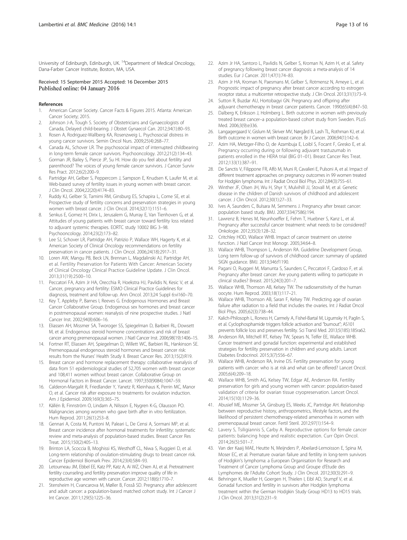<span id="page-12-0"></span>University of Edinburgh, Edinburgh, UK. 14Department of Medical Oncology, Dana-Farber Cancer Institute, Boston, MA, USA.

#### Received: 15 September 2015 Accepted: 16 December 2015 Published online: 04 January 2016

#### References

- 1. American Cancer Society. Cancer Facts & Figures 2015. Atlanta: American Cancer Society; 2015.
- 2. Johnson J-A, Tough S. Society of Obstetricians and Gynaecologists of Canada, Delayed child-bearing. J Obstet Gynaecol Can. 2012;34(1):80–93.
- 3. Rosen A, Rodriguez-Wallberg KA, Rosenzweig L. Psychosocial distress in young cancer survivors. Semin Oncol Nurs. 2009;25(4):268–77.
- 4. Canada AL, Schover LR. The psychosocial impact of interrupted childbearing in long-term female cancer survivors. Psychooncology. 2012;21(2):134–43.
- 5. Gorman JR, Bailey S, Pierce JP, Su HI. How do you feel about fertility and parenthood? The voices of young female cancer survivors. J Cancer Surviv Res Pract. 2012;6(2):200–9.
- Partridge AH, Gelber S, Peppercorn J, Sampson E, Knudsen K, Laufer M, et al. Web-based survey of fertility issues in young women with breast cancer. J Clin Oncol. 2004;22(20):4174–83.
- 7. Ruddy KJ, Gelber SI, Tamimi RM, Ginsburg ES, Schapira L, Come SE, et al. Prospective study of fertility concerns and preservation strategies in young women with breast cancer. J Clin Oncol. 2014;32(11):1151–6.
- 8. Senkus E, Gomez H, Dirix L, Jerusalem G, Murray E, Van Tienhoven G, et al. Attitudes of young patients with breast cancer toward fertility loss related to adjuvant systemic therapies. EORTC study 10002 BIG 3–98. Psychooncology. 2014;23(2):173–82.
- Lee SJ, Schover LR, Partridge AH, Patrizio P, Wallace WH, Hagerty K, et al. American Society of Clinical Oncology recommendations on fertility preservation in cancer patients. J Clin Oncol. 2006;24(18):2917–31.
- 10. Loren AW, Mangu PB, Beck LN, Brennan L, Magdalinski AJ, Partridge AH, et al. Fertility Preservation for Patients With Cancer: American Society of Clinical Oncology Clinical Practice Guideline Update. J Clin Oncol. 2013;31(19):2500–10.
- 11. Peccatori FA, Azim Jr HA, Orecchia R, Hoekstra HJ, Pavlidis N, Kesic V, et al. Cancer, pregnancy and fertility: ESMO Clinical Practice Guidelines for diagnosis, treatment and follow-up. Ann Oncol. 2013;24 Suppl 6:vi160–70.
- 12. Key T, Appleby P, Barnes I, Reeves G. Endogenous Hormones and Breast Cancer Collaborative Group. Endogenous sex hormones and breast cancer in postmenopausal women: reanalysis of nine prospective studies. J Natl Cancer Inst. 2002;94(8):606–16.
- 13. Eliassen AH, Missmer SA, Tworoger SS, Spiegelman D, Barbieri RL, Dowsett M, et al. Endogenous steroid hormone concentrations and risk of breast cancer among premenopausal women. J Natl Cancer Inst. 2006;98(19):1406–15.
- 14. Fortner RT, Eliassen AH, Spiegelman D, Willett WC, Barbieri RL, Hankinson SE. Premenopausal endogenous steroid hormones and breast cancer risk: results from the Nurses' Health Study II. Breast Cancer Res. 2013;15(2):R19.
- 15. Breast cancer and hormone replacement therapy: collaborative reanalysis of data from 51 epidemiological studies of 52,705 women with breast cancer and 108,411 women without breast cancer. Collaborative Group on Hormonal Factors in Breast Cancer. Lancet. 1997;350(9084):1047–59.
- 16. Calderon-Margalit R, Friedlander Y, Yanetz R, Kleinhaus K, Perrin MC, Manor O, et al. Cancer risk after exposure to treatments for ovulation induction. Am J Epidemiol. 2009;169(3):365–75.
- 17. Källén B, Finnström O, Lindam A, Nilsson E, Nygren K-G, Olausson PO. Malignancies among women who gave birth after in vitro fertilization. Hum Reprod. 2011;26(1):253–8.
- 18. Gennari A, Costa M, Puntoni M, Paleari L, De Censi A, Sormani MP, et al. Breast cancer incidence after hormonal treatments for infertility: systematic review and meta-analysis of population-based studies. Breast Cancer Res Treat. 2015;150(2):405–13.
- 19. Brinton LA, Scoccia B, Moghissi KS, Westhoff CL, Niwa S, Ruggieri D, et al. Long-term relationship of ovulation-stimulating drugs to breast cancer risk. Cancer Epidemiol Biomark Prev. 2014;23(4):584–93.
- 20. Letourneau JM, Ebbel EE, Katz PP, Katz A, Ai WZ, Chien AJ, et al. Pretreatment fertility counseling and fertility preservation improve quality of life in reproductive age women with cancer. Cancer. 2012;118(6):1710–7.
- 21. Stensheim H, Cvancarova M, Møller B, Fosså SD. Pregnancy after adolescent and adult cancer: a population-based matched cohort study. Int J Cancer J Int Cancer. 2011;129(5):1225–36.
- 22. Azim Jr HA, Santoro L, Pavlidis N, Gelber S, Kroman N, Azim H, et al. Safety of pregnancy following breast cancer diagnosis: a meta-analysis of 14 studies. Eur J Cancer. 2011;47(1):74–83.
- 23. Azim Jr HA, Kroman N, Paesmans M, Gelber S, Rotmensz N, Ameye L, et al. Prognostic impact of pregnancy after breast cancer according to estrogen receptor status: a multicenter retrospective study. J Clin Oncol. 2013;31(1):73–9.
- 24. Sutton R, Buzdar AU, Hortobagyi GN. Pregnancy and offspring after adjuvant chemotherapy in breast cancer patients. Cancer. 1990;65(4):847–50.
- 25. Dalberg K, Eriksson J, Holmberg L. Birth outcome in women with previously treated breast cancer–a population-based cohort study from Sweden. PLoS Med. 2006;3(9):e336.
- 26. Langagergaard V, Gislum M, Skriver MV, Nørgård B, Lash TL, Rothman KJ, et al. Birth outcome in women with breast cancer. Br J Cancer. 2006;94(1):142–6.
- 27. Azim HA, Metzger-Filho O, de Azambuja E, Loibl S, Focant F, Gresko E, et al. Pregnancy occurring during or following adjuvant trastuzumab in patients enrolled in the HERA trial (BIG 01–01). Breast Cancer Res Treat. 2012;133(1):387–91.
- 28. De Sanctis V, Filippone FR, Alfò M, Muni R, Cavalieri E, Pulsoni A, et al. Impact of different treatment approaches on pregnancy outcomes in 99 women treated for Hodgkin lymphoma. Int J Radiat Oncol Biol Phys. 2012;84(3):755–61.
- 29. Winther JF, Olsen JH, Wu H, Shyr Y, Mulvihill JJ, Stovall M, et al. Genetic disease in the children of Danish survivors of childhood and adolescent cancer. J Clin Oncol. 2012;30(1):27–33.
- 30. Ives A, Saunders C, Bulsara M, Semmens J. Pregnancy after breast cancer: population based study. BMJ. 2007;334(7586):194.
- 31. Lawrenz B, Henes M, Neunhoeffer E, Fehm T, Huebner S, Kanz L, et al. Pregnancy after successful cancer treatment: what needs to be considered? Onkologie. 2012;35(3):128–32.
- Critchley HOD, Wallace WHB. Impact of cancer treatment on uterine function. J Natl Cancer Inst Monogr. 2005;34:64–8.
- 33. Wallace WHB, Thompson L, Anderson RA. Guideline Development Group, Long term follow-up of survivors of childhood cancer: summary of updated SIGN guidance. BMJ. 2013;346:f1190.
- 34. Pagani O, Ruggeri M, Manunta S, Saunders C, Peccatori F, Cardoso F, et al. Pregnancy after breast cancer: Are young patients willing to participate in clinical studies? Breast. 2015;24(3):201–7.
- 35. Wallace WHB, Thomson AB, Kelsey TW. The radiosensitivity of the human oocyte. Hum Reprod. 2003;18(1):117–21.
- 36. Wallace WHB, Thomson AB, Saran F, Kelsey TW. Predicting age of ovarian failure after radiation to a field that includes the ovaries. Int J Radiat Oncol Biol Phys. 2005;62(3):738–44.
- 37. Kalich-Philosoph L, Roness H, Carmely A, Fishel-Bartal M, Ligumsky H, Paglin S, et al. Cyclophosphamide triggers follicle activation and "burnout"; AS101 prevents follicle loss and preserves fertility. Sci Transl Med. 2013;5(185):185ra62.
- 38. Anderson RA, Mitchell RT, Kelsey TW, Spears N, Telfer EE, Wallace WHB. Cancer treatment and gonadal function: experimental and established strategies for fertility preservation in children and young adults. Lancet Diabetes Endocrinol. 2015;3(7):556–67.
- 39. Wallace WHB, Anderson RA, Irvine DS. Fertility preservation for young patients with cancer: who is at risk and what can be offered? Lancet Oncol. 2005;6(4):209–18.
- 40. Wallace WHB, Smith AG, Kelsey TW, Edgar AE, Anderson RA. Fertility preservation for girls and young women with cancer: population-based validation of criteria for ovarian tissue cryopreservation. Lancet Oncol. 2014;15(10):1129–36.
- 41. Abusief ME, Missmer SA, Ginsburg ES, Weeks JC, Partridge AH. Relationship between reproductive history, anthropometrics, lifestyle factors, and the likelihood of persistent chemotherapy-related amenorrhea in women with premenopausal breast cancer. Fertil Steril. 2012;97(1):154–9.
- 42. Lavery S, Tsiligiannis S, Carby A. Reproductive options for female cancer patients: balancing hope and realistic expectation. Curr Opin Oncol. 2014;26(5):501–7.
- 43. Van der Kaaij MAE, Heutte N, Meijnders P, Abeilard-Lemoisson E, Spina M, Moser EC, et al. Premature ovarian failure and fertility in long-term survivors of Hodgkin's lymphoma: a European Organisation for Research and Treatment of Cancer Lymphoma Group and Groupe d'Etude des Lymphomes de l'Adulte Cohort Study. J Clin Oncol. 2012;30(3):291–9.
- 44. Behringer K, Mueller H, Goergen H, Thielen I, Eibl AD, Stumpf V, et al. Gonadal function and fertility in survivors after Hodgkin lymphoma treatment within the German Hodgkin Study Group HD13 to HD15 trials. J Clin Oncol. 2013;31(2):231–9.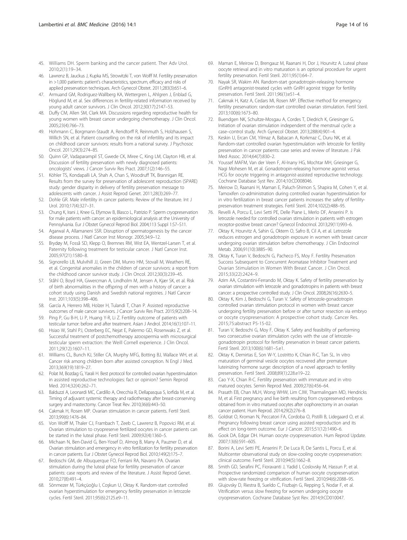- <span id="page-13-0"></span>45. Williams DH. Sperm banking and the cancer patient. Ther Adv Urol. 2010;2(1):19–34.
- 46. Lawrenz B, Jauckus J, Kupka MS, Strowitzki T, von Wolff M. Fertility preservation in >1,000 patients: patient's characteristics, spectrum, efficacy and risks of applied preservation techniques. Arch Gynecol Obstet. 2011;283(3):651–6.
- 47. Armuand GM, Rodriguez-Wallberg KA, Wettergren L, Ahlgren J, Enblad G, Höglund M, et al. Sex differences in fertility-related information received by young adult cancer survivors. J Clin Oncol. 2012;30(17):2147–53.
- 48. Duffy CM, Allen SM, Clark MA. Discussions regarding reproductive health for young women with breast cancer undergoing chemotherapy. J Clin Oncol. 2005;23(4):766–73.
- 49. Hohmann C, Borgmann-Staudt A, Rendtorff R, Reinmuth S, Holzhausen S, Willich SN, et al. Patient counselling on the risk of infertility and its impact on childhood cancer survivors: results from a national survey. J Psychosoc Oncol. 2011;29(3):274–85.
- 50. Quinn GP, Vadaparampil ST, Gwede CK, Miree C, King LM, Clayton HB, et al. Discussion of fertility preservation with newly diagnosed patients: oncologists' views. J Cancer Surviv Res Pract. 2007;1(2):146–55.
- 51. Köhler TS, Kondapalli LA, Shah A, Chan S, Woodruff TK, Brannigan RE. Results from the survey for preservation of adolescent reproduction (SPARE) study: gender disparity in delivery of fertility preservation message to adolescents with cancer. J Assist Reprod Genet. 2011;28(3):269–77.
- 52. Dohle GR. Male infertility in cancer patients: Review of the literature. Int J Urol. 2010;17(4):327–31.
- 53. Chung K, Irani J, Knee G, Efymow B, Blasco L, Patrizio P. Sperm cryopreservation for male patients with cancer: an epidemiological analysis at the University of Pennsylvania. Eur J Obstet Gynecol Reprod Biol. 2004;113 Suppl 1:S7–S11.
- 54. Agarwal A, Allamaneni SSR. Disruption of spermatogenesis by the cancer disease process. J Natl Cancer Inst Monogr. 2005;34:9–12.
- 55. Brydøy M, Fosså SD, Klepp O, Bremnes RM, Wist EA, Wentzel-Larsen T, et al. Paternity following treatment for testicular cancer. J Natl Cancer Inst. 2005;97(21):1580–8.
- 56. Signorello LB, Mulvihill JJ, Green DM, Munro HM, Stovall M, Weathers RE, et al. Congenital anomalies in the children of cancer survivors: a report from the childhood cancer survivor study. J Clin Oncol. 2012;30(3):239–45.
- 57. Ståhl O, Boyd HA, Giwercman A, Lindholm M, Jensen A, Kjær SK, et al. Risk of birth abnormalities in the offspring of men with a history of cancer: a cohort study using Danish and Swedish national registries. J Natl Cancer Inst. 2011;103(5):398–406.
- 58. García A, Herrero MB, Holzer H, Tulandi T, Chan P. Assisted reproductive outcomes of male cancer survivors. J Cancer Surviv Res Pract. 2015;9(2):208–14.
- 59. Ping P, Gu B-H, Li P, Huang Y-R, Li Z. Fertility outcome of patients with testicular tumor: before and after treatment. Asian J Androl. 2014;16(1):107–11.
- 60. Hsiao W, Stahl PJ, Osterberg EC, Nejat E, Palermo GD, Rosenwaks Z, et al. Successful treatment of postchemotherapy azoospermia with microsurgical testicular sperm extraction: the Weill Cornell experience. J Clin Oncol. 2011;29(12):1607–11.
- 61. Williams CL, Bunch KJ, Stiller CA, Murphy MFG, Botting BJ, Wallace WH, et al. Cancer risk among children born after assisted conception. N Engl J Med. 2013;369(19):1819–27.
- 62. Polat M, Bozdag G, Yarali H. Best protocol for controlled ovarian hyperstimulation in assisted reproductive technologies: fact or opinion? Semin Reprod Med. 2014;32(4):262–71.
- 63. Balduzzi A, Leonardi MC, Cardillo A, Orecchia R, Dellapasqua S, Iorfida M, et al. Timing of adjuvant systemic therapy and radiotherapy after breast-conserving surgery and mastectomy. Cancer Treat Rev. 2010;36(6):443–50.
- 64. Cakmak H, Rosen MP. Ovarian stimulation in cancer patients. Fertil Steril. 2013;99(6):1476–84.
- 65. Von Wolff M, Thaler CJ, Frambach T, Zeeb C, Lawrenz B, Popovici RM, et al. Ovarian stimulation to cryopreserve fertilized oocytes in cancer patients can be started in the luteal phase. Fertil Steril. 2009;92(4):1360–5.
- 66. Michaan N, Ben-David G, Ben-Yosef D, Almog B, Many A, Pauzner D, et al. Ovarian stimulation and emergency in vitro fertilization for fertility preservation in cancer patients. Eur J Obstet Gynecol Reprod Biol. 2010;149(2):175–7.
- 67. Bedoschi GM, de Albuquerque FO, Ferriani RA, Navarro PA. Ovarian stimulation during the luteal phase for fertility preservation of cancer patients: case reports and review of the literature. J Assist Reprod Genet. 2010;27(8):491–4.
- 68. Sönmezer M, Türkçüoğlu I, Coşkun U, Oktay K. Random-start controlled ovarian hyperstimulation for emergency fertility preservation in letrozole cycles. Fertil Steril. 2011;95(6):2125.e9–11.
- 69. Maman E, Meirow D, Brengauz M, Raanani H, Dor J, Hourvitz A. Luteal phase oocyte retrieval and in vitro maturation is an optional procedure for urgent fertility preservation. Fertil Steril. 2011;95(1):64–7.
- 70. Nayak SR, Wakim AN. Random-start gonadotropin-releasing hormone (GnRH) antagonist-treated cycles with GnRH agonist trigger for fertility preservation. Fertil Steril. 2011;96(1):e51–4.
- 71. Cakmak H, Katz A, Cedars MI, Rosen MP. Effective method for emergency fertility preservation: random-start controlled ovarian stimulation. Fertil Steril. 2013;100(6):1673–80.
- 72. Buendgen NK, Schultze-Mosgau A, Cordes T, Diedrich K, Griesinger G. Initiation of ovarian stimulation independent of the menstrual cycle: a case–control study. Arch Gynecol Obstet. 2013;288(4):901–4.
- 73. Keskin U, Ercan CM, Yilmaz A, Babacan A, Korkmaz C, Duru NK, et al. Random-start controlled ovarian hyperstimulation with letrozole for fertility preservation in cancer patients: case series and review of literature. J Pak Med Assoc. 2014;64(7):830–2.
- 74. Youssef MAFM, Van der Veen F, Al-Inany HG, Mochtar MH, Griesinger G, Nagi Mohesen M, et al. Gonadotropin-releasing hormone agonist versus HCG for oocyte triggering in antagonist-assisted reproductive technology. Cochrane Database Syst Rev. 2014;10:CD008046.
- 75. Meirow D, Raanani H, Maman E, Paluch-Shimon S, Shapira M, Cohen Y, et al. Tamoxifen co-administration during controlled ovarian hyperstimulation for in vitro fertilization in breast cancer patients increases the safety of fertilitypreservation treatment strategies. Fertil Steril. 2014;102(2):488–95.
- 76. Revelli A, Porcu E, Levi Setti PE, Delle Piane L, Merlo DF, Anserini P. Is letrozole needed for controlled ovarian stimulation in patients with estrogen receptor-positive breast cancer? Gynecol Endocrinol. 2013;29(11):993–6.
- 77. Oktay K, Hourvitz A, Sahin G, Oktem O, Safro B, Cil A, et al. Letrozole reduces estrogen and gonadotropin exposure in women with breast cancer undergoing ovarian stimulation before chemotherapy. J Clin Endocrinol Metab. 2006;91(10):3885–90.
- 78. Oktay K, Turan V, Bedoschi G, Pacheco FS, Moy F. Fertility Preservation Success Subsequent to Concurrent Aromatase Inhibitor Treatment and Ovarian Stimulation in Women With Breast Cancer. J Clin Oncol. 2015;33(22):2424–9.
- 79. Azim AA, Costantini-Ferrando M, Oktay K. Safety of fertility preservation by ovarian stimulation with letrozole and gonadotropins in patients with breast cancer: a prospective controlled study. J Clin Oncol. 2008;26(16):2630–5.
- 80. Oktay K, Kim J, Bedoschi G, Turan V. Safety of letrozole-gonadotropin controlled ovarian stimulation protocol in women with breast cancer undergoing fertility preservation before or after tumor resection via embryo or oocyte cryopreservation: A prospective cohort study. Cancer Res. 2015;75:abstract P5-15-02.
- 81. Turan V, Bedoschi G, Moy F, Oktay K. Safety and feasibility of performing two consecutive ovarian stimulation cycles with the use of letrozolegonadotropin protocol for fertility preservation in breast cancer patients. Fertil Steril. 2013;100(6):1681–5.e1.
- 82. Oktay K, Demirtas E, Son W-Y, Lostritto K, Chian R-C, Tan SL. In vitro maturation of germinal vesicle oocytes recovered after premature luteinizing hormone surge: description of a novel approach to fertility preservation. Fertil Steril. 2008;89(1):228.e19–22.
- Cao Y-X, Chian R-C. Fertility preservation with immature and in vitro matured oocytes. Semin Reprod Med. 2009;27(6):456–64.
- 84. Prasath EB, Chan MLH, Wong WHW, Lim CJW, Tharmalingam MD, Hendricks M, et al. First pregnancy and live birth resulting from cryopreserved embryos obtained from in vitro matured oocytes after oophorectomy in an ovarian cancer patient. Hum Reprod. 2014;29(2):276–8.
- 85. Goldrat O, Kroman N, Peccatori FA, Cordoba O, Pistilli B, Lidegaard O, et al. Pregnancy following breast cancer using assisted reproduction and its effect on long-term outcome. Eur J Cancer. 2015;51(12):1490–6.
- Gook DA, Edgar DH. Human oocyte cryopreservation. Hum Reprod Update. 2007;13(6):591–605.
- 87. Borini A, Levi Setti PE, Anserini P, De Luca R, De Santis L, Porcu E, et al. Multicenter observational study on slow-cooling oocyte cryopreservation: clinical outcome. Fertil Steril. 2010;94(5):1662–8.
- 88. Smith GD, Serafini PC, Fioravanti J, Yadid I, Coslovsky M, Hassun P, et al. Prospective randomized comparison of human oocyte cryopreservation with slow-rate freezing or vitrification. Fertil Steril. 2010;94(6):2088–95.
- 89. Glujovsky D, Riestra B, Sueldo C, Fiszbajn G, Repping S, Nodar F, et al. Vitrification versus slow freezing for women undergoing oocyte cryopreservation. Cochrane Database Syst Rev. 2014;9:CD010047.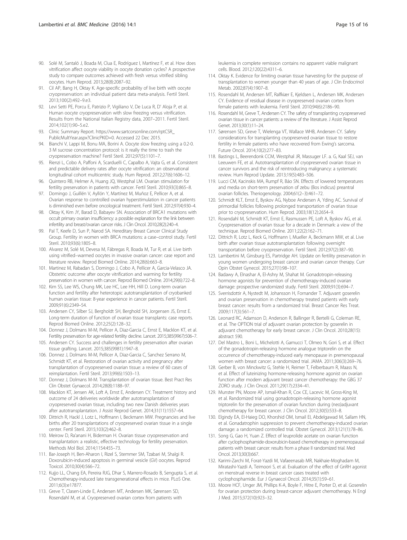- <span id="page-14-0"></span>90. Solé M, Santaló J, Boada M, Clua E, Rodríguez I, Martínez F, et al. How does vitrification affect oocyte viability in oocyte donation cycles? A prospective study to compare outcomes achieved with fresh versus vitrified sibling oocytes. Hum Reprod. 2013;28(8):2087–92.
- 91. Cil AP, Bang H, Oktay K. Age-specific probability of live birth with oocyte cryopreservation: an individual patient data meta-analysis. Fertil Steril. 2013;100(2):492–9.e3.
- 92. Levi Setti PE, Porcu E, Patrizio P, Vigiliano V, De Luca R, D' Aloja P, et al. Human oocyte cryopreservation with slow freezing versus vitrification. Results from the National Italian Registry data, 2007–2011. Fertil Steril. 2014;102(1):90–5.e2.
- 93. Clinic Summary Report. [https://www.sartcorsonline.com/rptCSR\\_](https://www.sartcorsonline.com/rptCSR_PublicMultYear.aspx?ClinicPKID=0) [PublicMultYear.aspx?ClinicPKID=0.](https://www.sartcorsonline.com/rptCSR_PublicMultYear.aspx?ClinicPKID=0) Accessed 22 Dec 2015.
- 94. Bianchi V, Lappi M, Bonu MA, Borini A. Oocyte slow freezing using a 0.2-0. 3 M sucrose concentration protocol: is it really the time to trash the cryopreservation machine? Fertil Steril. 2012;97(5):1101–7.
- 95. Rienzi L, Cobo A, Paffoni A, Scarduelli C, Capalbo A, Vajta G, et al. Consistent and predictable delivery rates after oocyte vitrification: an observational longitudinal cohort multicentric study. Hum Reprod. 2012;27(6):1606–12.
- 96. Quintero RB, Helmer A, Huang JQ, Westphal LM. Ovarian stimulation for fertility preservation in patients with cancer. Fertil Steril. 2010;93(3):865–8.
- 97. Domingo J, Guillén V, Ayllón Y, Martínez M, Muñoz E, Pellicer A, et al. Ovarian response to controlled ovarian hyperstimulation in cancer patients is diminished even before oncological treatment. Fertil Steril. 2012;97(4):930–4.
- 98. Oktay K, Kim JY, Barad D, Babayev SN. Association of BRCA1 mutations with occult primary ovarian insufficiency: a possible explanation for the link between infertility and breast/ovarian cancer risks. J Clin Oncol. 2010;28(2):240–4.
- 99. Pal T, Keefe D, Sun P, Narod SA. Hereditary Breast Cancer Clinical Study Group. Fertility in women with BRCA mutations: a case–control study. Fertil Steril. 2010;93(6):1805–8.
- 100. Alvarez M, Solé M, Devesa M, Fábregas R, Boada M, Tur R, et al. Live birth using vitrified–warmed oocytes in invasive ovarian cancer: case report and literature review. Reprod Biomed Online. 2014;28(6):663–8.
- 101. Martinez M, Rabadan S, Domingo J, Cobo A, Pellicer A, Garcia-Velasco JA. Obstetric outcome after oocyte vitrification and warming for fertility preservation in women with cancer. Reprod Biomed Online. 2014;29(6):722–8.
- 102. Kim SS, Lee WS, Chung MK, Lee HC, Lee HH, Hill D. Long-term ovarian function and fertility after heterotopic autotransplantation of cryobanked human ovarian tissue: 8-year experience in cancer patients. Fertil Steril. 2009;91(6):2349–54.
- 103. Andersen CY, Silber SJ, Bergholdt SH, Berghold SH, Jorgensen JS, Ernst E. Long-term duration of function of ovarian tissue transplants: case reports. Reprod Biomed Online. 2012;25(2):128–32.
- 104. Donnez J, Dolmans M-M, Pellicer A, Diaz-Garcia C, Ernst E, Macklon KT, et al. Fertility preservation for age-related fertility decline. Lancet. 2015;385(9967):506–7.
- 105. Andersen CY. Success and challenges in fertility preservation after ovarian tissue grafting. Lancet. 2015;385(9981):1947–8.
- 106. Donnez J, Dolmans M-M, Pellicer A, Diaz-Garcia C, Sanchez Serrano M, Schmidt KT, et al. Restoration of ovarian activity and pregnancy after transplantation of cryopreserved ovarian tissue: a review of 60 cases of reimplantation. Fertil Steril. 2013;99(6):1503–13.
- 107. Donnez J, Dolmans M-M. Transplantation of ovarian tissue. Best Pract Res Clin Obstet Gynaecol. 2014;28(8):1188–97.
- 108. Macklon KT, Jensen AK, Loft A, Ernst E, Andersen CY. Treatment history and outcome of 24 deliveries worldwide after autotransplantation of cryopreserved ovarian tissue, including two new Danish deliveries years after autotransplantation. J Assist Reprod Genet. 2014;31(11):1557–64.
- 109. Dittrich R, Hackl J, Lotz L, Hoffmann I, Beckmann MW. Pregnancies and live births after 20 transplantations of cryopreserved ovarian tissue in a single center. Fertil Steril. 2015;103(2):462–8.
- 110. Meirow D, Ra'anani H, Biderman H. Ovarian tissue cryopreservation and transplantation: a realistic, effective technology for fertility preservation. Methods Mol Biol. 2014;1154:455–73.
- 111. Bar-Joseph H, Ben-Aharon I, Rizel S, Stemmer SM, Tzabari M, Shalgi R. Doxorubicin-induced apoptosis in germinal vesicle (GV) oocytes. Reprod Toxicol. 2010;30(4):566–72.
- 112. Kujjo LL, Chang EA, Pereira RJG, Dhar S, Marrero-Rosado B, Sengupta S, et al. Chemotherapy-induced late transgenerational effects in mice. PLoS One. 2011;6(3):e17877.
- 113. Greve T, Clasen-Linde E, Andersen MT, Andersen MK, Sørensen SD, Rosendahl M, et al. Cryopreserved ovarian cortex from patients with

leukemia in complete remission contains no apparent viable malignant cells. Blood. 2012;120(22):4311–6.

- 114. Oktay K. Evidence for limiting ovarian tissue harvesting for the purpose of transplantation to women younger than 40 years of age. J Clin Endocrinol Metab. 2002;87(4):1907–8.
- 115. Rosendahl M, Andersen MT, Ralfkiær E, Kjeldsen L, Andersen MK, Andersen CY. Evidence of residual disease in cryopreserved ovarian cortex from female patients with leukemia. Fertil Steril. 2010;94(6):2186–90.
- 116. Rosendahl M, Greve T, Andersen CY. The safety of transplanting cryopreserved ovarian tissue in cancer patients: a review of the literature. J Assist Reprod Genet. 2013;30(1):11–24.
- 117. Sørensen SD, Greve T, Wielenga VT, Wallace WHB, Andersen CY. Safety considerations for transplanting cryopreserved ovarian tissue to restore fertility in female patients who have recovered from Ewing's sarcoma. Future Oncol. 2014;10(2):277–83.
- 118. Bastings L, Beerendonk CCM, Westphal JR, Massuger LF. a. G, Kaal SEJ, van Leeuwen FE, et al. Autotransplantation of cryopreserved ovarian tissue in cancer survivors and the risk of reintroducing malignancy: a systematic review. Hum Reprod Update. 2013;19(5):483–506.
- 119. Lucci CM, Kacinskis MA, Rumpf R, Báo SN. Effects of lowered temperatures and media on short-term preservation of zebu (Bos indicus) preantral ovarian follicles. Theriogenology. 2004;61(2–3):461–72.
- 120. Schmidt KLT, Ernst E, Byskov AG, Nyboe Andersen A, Yding AC. Survival of primordial follicles following prolonged transportation of ovarian tissue prior to cryopreservation. Hum Reprod. 2003;18(12):2654–9.
- 121. Rosendahl M, Schmidt KT, Ernst E, Rasmussen PE, Loft A, Byskov AG, et al. Cryopreservation of ovarian tissue for a decade in Denmark: a view of the technique. Reprod Biomed Online. 2011;22(2):162–71.
- 122. Dittrich R, Lotz L, Keck G, Hoffmann I, Mueller A, Beckmann MW, et al. Live birth after ovarian tissue autotransplantation following overnight transportation before cryopreservation. Fertil Steril. 2012;97(2):387–90.
- 123. Lambertini M, Ginsburg ES, Partridge AH. Update on fertility preservation in young women undergoing breast cancer and ovarian cancer therapy. Curr Opin Obstet Gynecol. 2015;27(1):98–107.
- 124. Badawy A, Elnashar A, El-Ashry M, Shahat M. Gonadotropin-releasing hormone agonists for prevention of chemotherapy-induced ovarian damage: prospective randomized study. Fertil Steril. 2009;91(3):694–7.
- 125. Sverrisdottir A, Nystedt M, Johansson H, Fornander T. Adjuvant goserelin and ovarian preservation in chemotherapy treated patients with early breast cancer: results from a randomized trial. Breast Cancer Res Treat. 2009;117(3):561–7.
- 126. Leonard RC, Adamson D, Anderson R, Ballinger R, Bertelli G, Coleman RE, et al. The OPTION trial of adjuvant ovarian protection by goserelin in adjuvant chemotherapy for early breast cancer. J Clin Oncol. 2010;28(15): abstract 590.
- 127. Del Mastro L, Boni L, Michelotti A, Gamucci T, Olmeo N, Gori S, et al. Effect of the gonadotropin-releasing hormone analogue triptorelin on the occurrence of chemotherapy-induced early menopause in premenopausal women with breast cancer: a randomized trial. JAMA. 2011;306(3):269–76.
- 128. Gerber B, von Minckwitz G, Stehle H, Reimer T, Felberbaum R, Maass N, et al. Effect of luteinizing hormone-releasing hormone agonist on ovarian function after modern adjuvant breast cancer chemotherapy: the GBG 37 ZORO study. J Clin Oncol. 2011;29(17):2334–41.
- 129. Munster PN, Moore AP, Ismail-Khan R, Cox CE, Lacevic M, Gross-King M, et al. Randomized trial using gonadotropin-releasing hormone agonist triptorelin for the preservation of ovarian function during (neo)adjuvant chemotherapy for breast cancer. J Clin Oncol. 2012;30(5):533–8.
- 130. Elgindy EA, El-Haieg DO, Khorshid OM, Ismail EI, Abdelgawad M, Sallam HN, et al. Gonadatrophin suppression to prevent chemotherapy-induced ovarian damage: a randomized controlled trial. Obstet Gynecol. 2013;121(1):78–86.
- 131. Song G, Gao H, Yuan Z. Effect of leuprolide acetate on ovarian function after cyclophosphamide-doxorubicin-based chemotherapy in premenopausal patients with breast cancer: results from a phase II randomized trial. Med Oncol. 2013;30(3):667.
- 132. Karimi-Zarchi M, Forat-Yazdi M, Vafaeenasab MR, Nakhaie-Moghadam M, Miratashi-Yazdi A, Teimoori S, et al. Evaluation of the effect of GnRH agonist on menstrual reverse in breast cancer cases treated with cyclophosphamide. Eur J Gynaecol Oncol. 2014;35(1):59–61.
- 133. Moore HCF, Unger JM, Phillips K-A, Boyle F, Hitre E, Porter D, et al. Goserelin for ovarian protection during breast-cancer adjuvant chemotherapy. N Engl J Med. 2015;372(10):923–32.